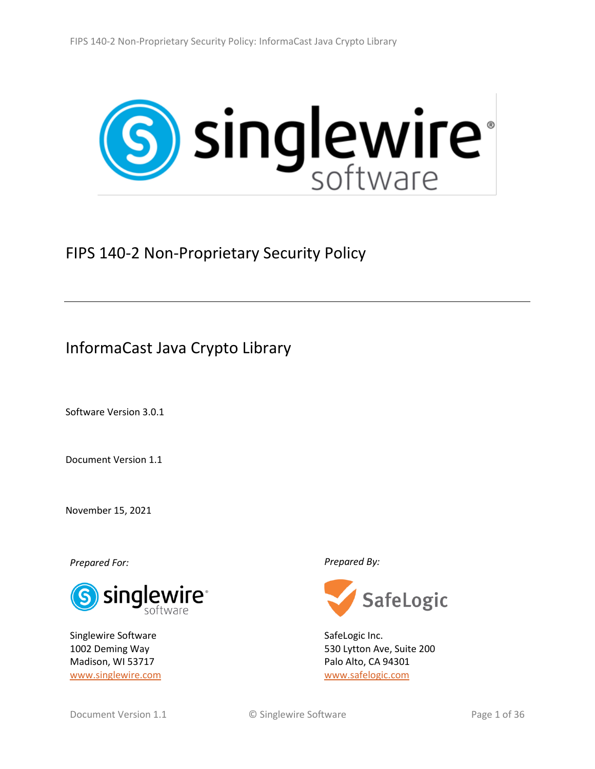

# <span id="page-0-1"></span>FIPS 140-2 Non-Proprietary Security Policy

# InformaCast Java Crypto Library

Software Version 3.0.1

<span id="page-0-0"></span>Document Version 1.1

November 15, 2021



Singlewire Software 1002 Deming Way Madison, WI 53717 <www.singlewire.com>

*Prepared For: Prepared By:*



SafeLogic Inc. 530 Lytton Ave, Suite 200 Palo Alto, CA 94301 [www.safelogic.com](http://www.safelogic.com/)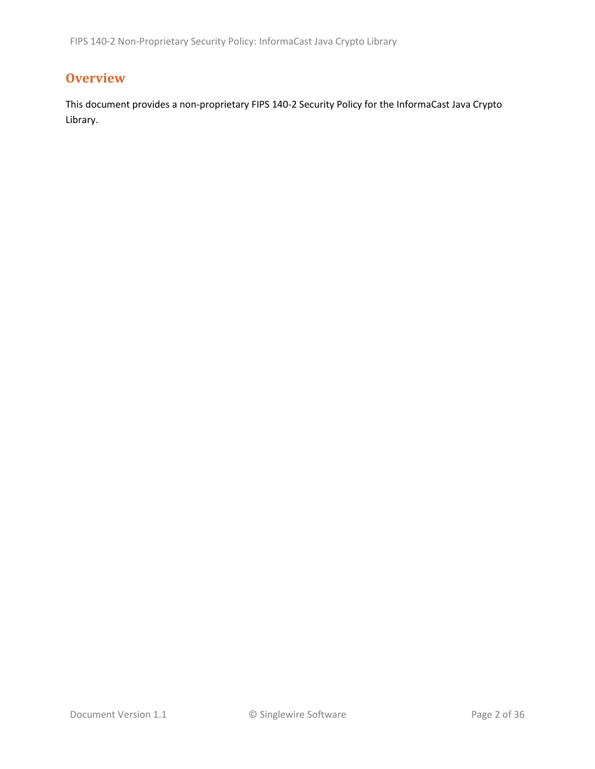## **Overview**

This document provides a non-proprietary FIPS 140-2 Security Policy for the InformaCast Java Crypto Library.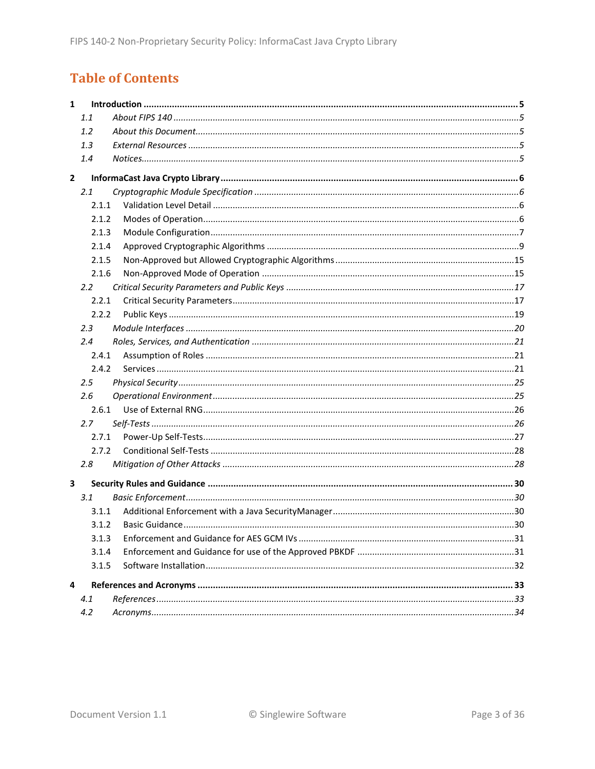## **Table of Contents**

| 1.1            |  |  |  |  |  |  |  |
|----------------|--|--|--|--|--|--|--|
| 1.2            |  |  |  |  |  |  |  |
| 1.3            |  |  |  |  |  |  |  |
| 1.4            |  |  |  |  |  |  |  |
| $\overline{2}$ |  |  |  |  |  |  |  |
| 2.1            |  |  |  |  |  |  |  |
| 2.1.1          |  |  |  |  |  |  |  |
| 2.1.2          |  |  |  |  |  |  |  |
| 2.1.3          |  |  |  |  |  |  |  |
| 2.1.4          |  |  |  |  |  |  |  |
| 2.1.5          |  |  |  |  |  |  |  |
| 2.1.6          |  |  |  |  |  |  |  |
| 2.2            |  |  |  |  |  |  |  |
| 2.2.1          |  |  |  |  |  |  |  |
| 2.2.2          |  |  |  |  |  |  |  |
| 2.3            |  |  |  |  |  |  |  |
| 2.4            |  |  |  |  |  |  |  |
| 2.4.1          |  |  |  |  |  |  |  |
| 2.4.2          |  |  |  |  |  |  |  |
| 2.5            |  |  |  |  |  |  |  |
| 2.6            |  |  |  |  |  |  |  |
| 2.6.1          |  |  |  |  |  |  |  |
| 2.7            |  |  |  |  |  |  |  |
| 2.7.1          |  |  |  |  |  |  |  |
| 2.7.2          |  |  |  |  |  |  |  |
| 2.8            |  |  |  |  |  |  |  |
| 3              |  |  |  |  |  |  |  |
| 3.1            |  |  |  |  |  |  |  |
| 3.1.1          |  |  |  |  |  |  |  |
| 3.1.2          |  |  |  |  |  |  |  |
| 3.1.3          |  |  |  |  |  |  |  |
| 3.1.4          |  |  |  |  |  |  |  |
| 3.1.5          |  |  |  |  |  |  |  |
| 4              |  |  |  |  |  |  |  |
| 4.1            |  |  |  |  |  |  |  |
| 4.2            |  |  |  |  |  |  |  |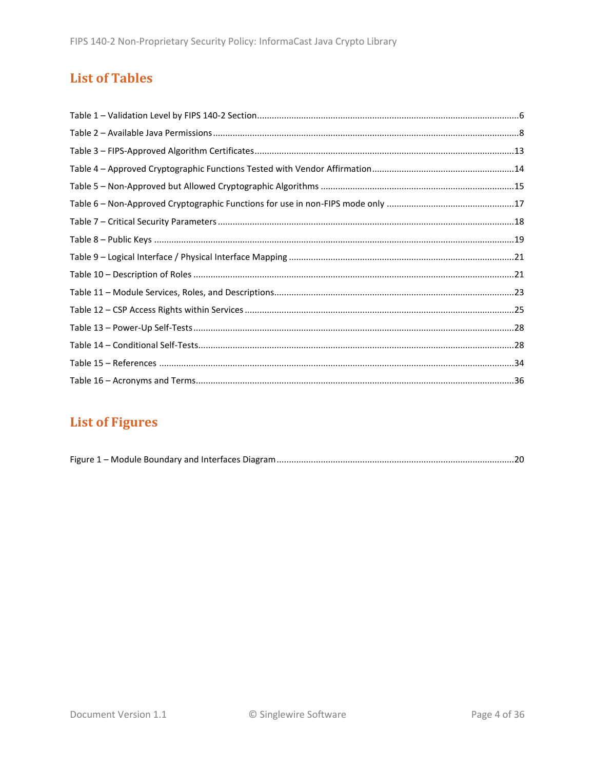## **List of Tables**

## **List of Figures**

|--|--|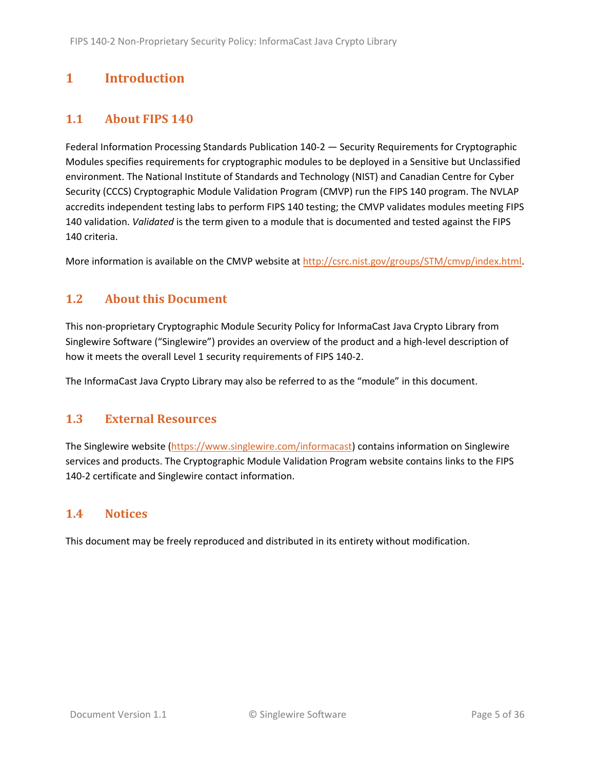## <span id="page-4-0"></span>**1 Introduction**

## <span id="page-4-1"></span>**1.1 About FIPS 140**

Federal Information Processing Standards Publication 140-2 — Security Requirements for Cryptographic Modules specifies requirements for cryptographic modules to be deployed in a Sensitive but Unclassified environment. The National Institute of Standards and Technology (NIST) and Canadian Centre for Cyber Security (CCCS) Cryptographic Module Validation Program (CMVP) run the FIPS 140 program. The NVLAP accredits independent testing labs to perform FIPS 140 testing; the CMVP validates modules meeting FIPS 140 validation. *Validated* is the term given to a module that is documented and tested against the FIPS 140 criteria.

More information is available on the CMVP website at [http://csrc.nist.gov/groups/STM/cmvp/index.html.](http://csrc.nist.gov/groups/STM/cmvp/index.html)

### <span id="page-4-2"></span>**1.2 About this Document**

This non-proprietary Cryptographic Module Security Policy for InformaCast Java Crypto Library from Singlewire Software ("Singlewire") provides an overview of the product and a high-level description of how it meets the overall Level 1 security requirements of FIPS 140-2.

The InformaCast Java Crypto Library may also be referred to as the "module" in this document.

#### <span id="page-4-3"></span>**1.3 External Resources**

The Singlewire website [\(https://www.singlewire.com/informacast\)](https://www.singlewire.com/informacast) contains information on Singlewire services and products. The Cryptographic Module Validation Program website contains links to the FIPS 140-2 certificate and Singlewire contact information.

### <span id="page-4-4"></span>**1.4 Notices**

This document may be freely reproduced and distributed in its entirety without modification.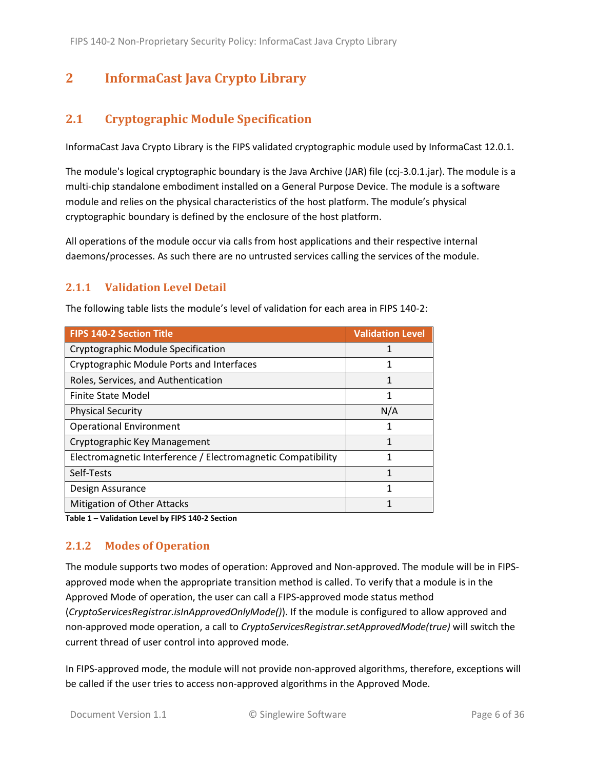## <span id="page-5-0"></span>**2 InformaCast Java Crypto Library**

## <span id="page-5-1"></span>**2.1 Cryptographic Module Specification**

InformaCast Java Crypto Library is the FIPS validated cryptographic module used by InformaCast 12.0.1.

The module's logical cryptographic boundary is the Java Archive (JAR) file (ccj-3.0.1.jar). The module is a multi-chip standalone embodiment installed on a General Purpose Device. The module is a software module and relies on the physical characteristics of the host platform. The module's physical cryptographic boundary is defined by the enclosure of the host platform.

All operations of the module occur via calls from host applications and their respective internal daemons/processes. As such there are no untrusted services calling the services of the module.

#### <span id="page-5-2"></span>**2.1.1 Validation Level Detail**

The following table lists the module's level of validation for each area in FIPS 140-2:

| <b>FIPS 140-2 Section Title</b>                              | <b>Validation Level</b> |
|--------------------------------------------------------------|-------------------------|
| Cryptographic Module Specification                           |                         |
| Cryptographic Module Ports and Interfaces                    | 1                       |
| Roles, Services, and Authentication                          | 1                       |
| <b>Finite State Model</b>                                    | 1                       |
| <b>Physical Security</b>                                     | N/A                     |
| <b>Operational Environment</b>                               | 1                       |
| Cryptographic Key Management                                 | 1                       |
| Electromagnetic Interference / Electromagnetic Compatibility |                         |
| Self-Tests                                                   | 1                       |
| Design Assurance                                             |                         |
| <b>Mitigation of Other Attacks</b>                           |                         |

**Table 1 – Validation Level by FIPS 140-2 Section**

### <span id="page-5-3"></span>**2.1.2 Modes of Operation**

The module supports two modes of operation: Approved and Non-approved. The module will be in FIPSapproved mode when the appropriate transition method is called. To verify that a module is in the Approved Mode of operation, the user can call a FIPS-approved mode status method (*CryptoServicesRegistrar.isInApprovedOnlyMode()*). If the module is configured to allow approved and non-approved mode operation, a call to *CryptoServicesRegistrar.setApprovedMode(true)* will switch the current thread of user control into approved mode.

In FIPS-approved mode, the module will not provide non-approved algorithms, therefore, exceptions will be called if the user tries to access non-approved algorithms in the Approved Mode.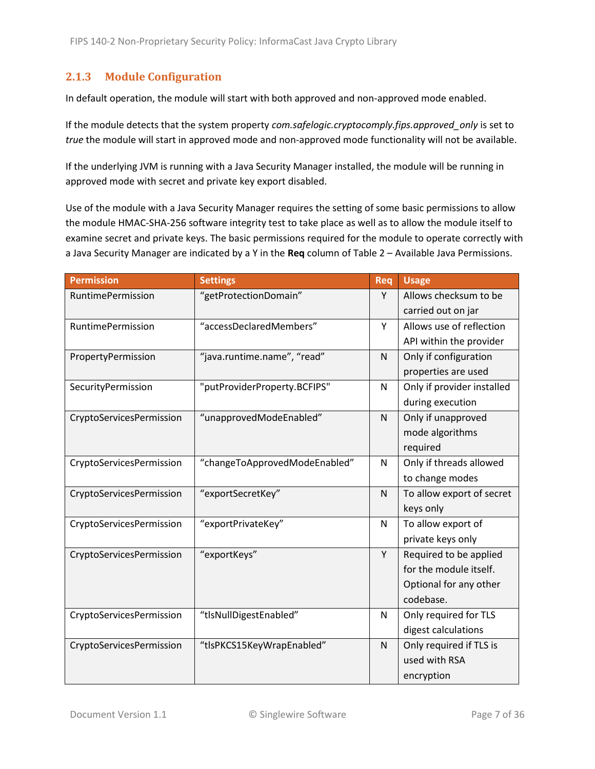### <span id="page-6-0"></span>**2.1.3 Module Configuration**

In default operation, the module will start with both approved and non-approved mode enabled.

If the module detects that the system property *com.safelogic.cryptocomply.fips.approved\_only* is set to *true* the module will start in approved mode and non-approved mode functionality will not be available.

If the underlying JVM is running with a Java Security Manager installed, the module will be running in approved mode with secret and private key export disabled.

Use of the module with a Java Security Manager requires the setting of some basic permissions to allow the module HMAC-SHA-256 software integrity test to take place as well as to allow the module itself to examine secret and private keys. The basic permissions required for the module to operate correctly with a Java Security Manager are indicated by a Y in the **Req** column of Table 2 – [Available Java Permissions.](#page-7-0)

| <b>Permission</b>        | <b>Settings</b>               | Req | <b>Usage</b>               |
|--------------------------|-------------------------------|-----|----------------------------|
| RuntimePermission        | "getProtectionDomain"         | Y   | Allows checksum to be      |
|                          |                               |     | carried out on jar         |
| RuntimePermission        | "accessDeclaredMembers"       | Y   | Allows use of reflection   |
|                          |                               |     | API within the provider    |
| PropertyPermission       | "java.runtime.name", "read"   | N   | Only if configuration      |
|                          |                               |     | properties are used        |
| SecurityPermission       | "putProviderProperty.BCFIPS"  | N   | Only if provider installed |
|                          |                               |     | during execution           |
| CryptoServicesPermission | "unapprovedModeEnabled"       | N   | Only if unapproved         |
|                          |                               |     | mode algorithms            |
|                          |                               |     | required                   |
| CryptoServicesPermission | "changeToApprovedModeEnabled" | N   | Only if threads allowed    |
|                          |                               |     | to change modes            |
| CryptoServicesPermission | "exportSecretKey"             | N   | To allow export of secret  |
|                          |                               |     | keys only                  |
| CryptoServicesPermission | "exportPrivateKey"            | N   | To allow export of         |
|                          |                               |     | private keys only          |
| CryptoServicesPermission | "exportKeys"                  | Y   | Required to be applied     |
|                          |                               |     | for the module itself.     |
|                          |                               |     | Optional for any other     |
|                          |                               |     | codebase.                  |
| CryptoServicesPermission | "tlsNullDigestEnabled"        | N   | Only required for TLS      |
|                          |                               |     | digest calculations        |
| CryptoServicesPermission | "tlsPKCS15KeyWrapEnabled"     | N   | Only required if TLS is    |
|                          |                               |     | used with RSA              |
|                          |                               |     | encryption                 |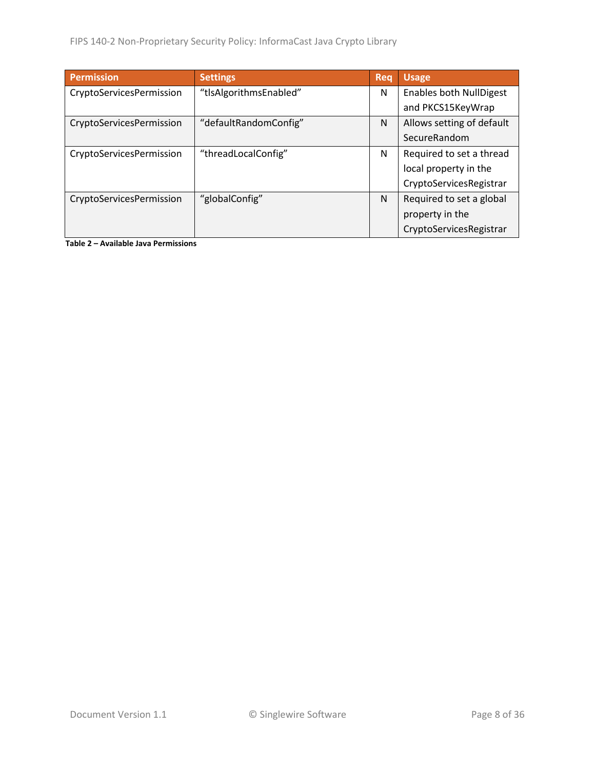| <b>Permission</b>        | <b>Settings</b>        | Reg | <b>Usage</b>                   |
|--------------------------|------------------------|-----|--------------------------------|
| CryptoServicesPermission | "tlsAlgorithmsEnabled" | N   | <b>Enables both NullDigest</b> |
|                          |                        |     | and PKCS15KeyWrap              |
| CryptoServicesPermission | "defaultRandomConfig"  | N   | Allows setting of default      |
|                          |                        |     | SecureRandom                   |
| CryptoServicesPermission | "threadLocalConfig"    | N   | Required to set a thread       |
|                          |                        |     | local property in the          |
|                          |                        |     | CryptoServicesRegistrar        |
| CryptoServicesPermission | "globalConfig"         | N   | Required to set a global       |
|                          |                        |     | property in the                |
|                          |                        |     | CryptoServicesRegistrar        |

<span id="page-7-0"></span>**Table 2 – Available Java Permissions**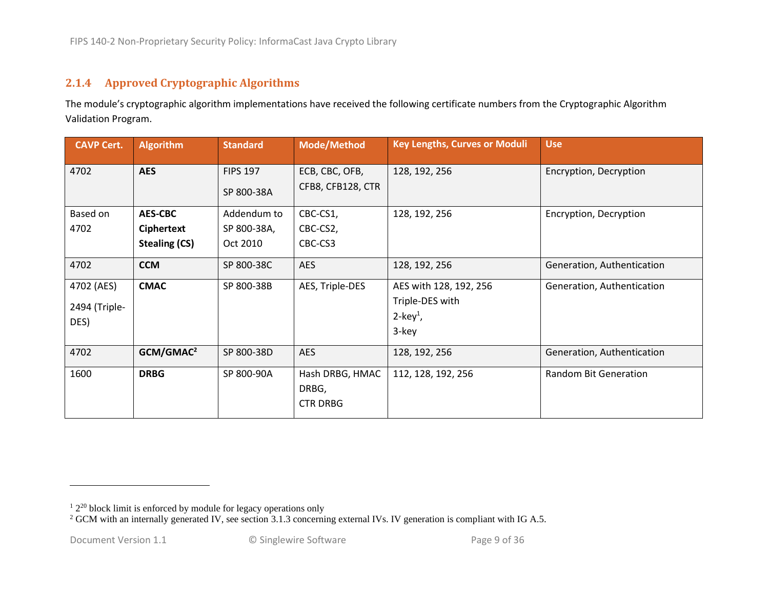### **2.1.4 Approved Cryptographic Algorithms**

The module's cryptographic algorithm implementations have received the following certificate numbers from the Cryptographic Algorithm Validation Program.

<span id="page-8-0"></span>

| <b>CAVP Cert.</b> | <b>Algorithm</b>      | <b>Standard</b> | <b>Mode/Method</b> | <b>Key Lengths, Curves or Moduli</b> | <b>Use</b>                   |
|-------------------|-----------------------|-----------------|--------------------|--------------------------------------|------------------------------|
| 4702              | <b>AES</b>            | <b>FIPS 197</b> | ECB, CBC, OFB,     | 128, 192, 256                        | Encryption, Decryption       |
|                   |                       | SP 800-38A      | CFB8, CFB128, CTR  |                                      |                              |
| Based on          | <b>AES-CBC</b>        | Addendum to     | CBC-CS1,           | 128, 192, 256                        | Encryption, Decryption       |
| 4702              | Ciphertext            | SP 800-38A,     | CBC-CS2,           |                                      |                              |
|                   | <b>Stealing (CS)</b>  | Oct 2010        | CBC-CS3            |                                      |                              |
| 4702              | <b>CCM</b>            | SP 800-38C      | <b>AES</b>         | 128, 192, 256                        | Generation, Authentication   |
| 4702 (AES)        | <b>CMAC</b>           | SP 800-38B      | AES, Triple-DES    | AES with 128, 192, 256               | Generation, Authentication   |
| 2494 (Triple-     |                       |                 |                    | Triple-DES with                      |                              |
| DES)              |                       |                 |                    | $2$ -key <sup>1</sup> ,              |                              |
|                   |                       |                 |                    | 3-key                                |                              |
| 4702              | GCM/GMAC <sup>2</sup> | SP 800-38D      | <b>AES</b>         | 128, 192, 256                        | Generation, Authentication   |
| 1600              | <b>DRBG</b>           | SP 800-90A      | Hash DRBG, HMAC    | 112, 128, 192, 256                   | <b>Random Bit Generation</b> |
|                   |                       |                 | DRBG,              |                                      |                              |
|                   |                       |                 | <b>CTR DRBG</b>    |                                      |                              |

 $12^{20}$  block limit is enforced by module for legacy operations only

 $2$  GCM with an internally generated IV, see section 3.1.3 concerning external IVs. IV generation is compliant with IG A.5.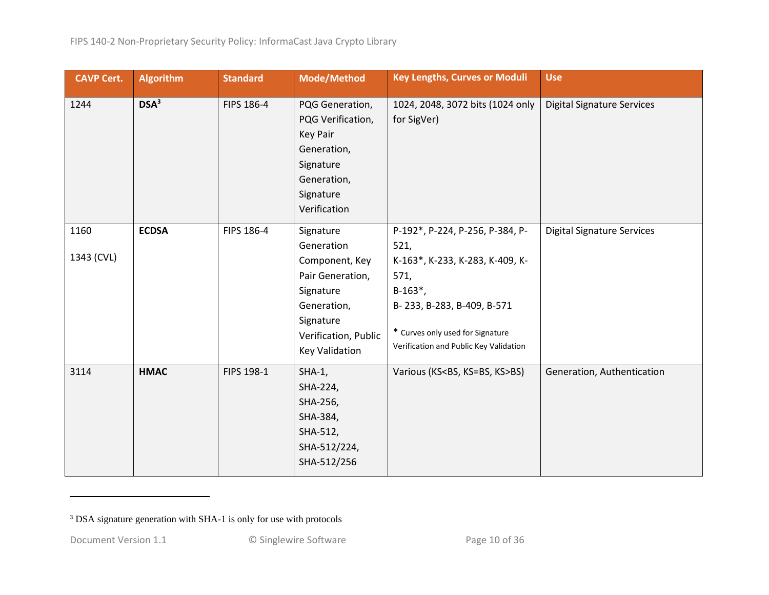| <b>CAVP Cert.</b>  | <b>Algorithm</b> | <b>Standard</b> | <b>Mode/Method</b>                                                                                                                                      | <b>Key Lengths, Curves or Moduli</b>                                                                                                                                                                          | <b>Use</b>                        |
|--------------------|------------------|-----------------|---------------------------------------------------------------------------------------------------------------------------------------------------------|---------------------------------------------------------------------------------------------------------------------------------------------------------------------------------------------------------------|-----------------------------------|
| 1244               | DSA <sup>3</sup> | FIPS 186-4      | PQG Generation,<br>PQG Verification,<br><b>Key Pair</b><br>Generation,<br>Signature<br>Generation,<br>Signature<br>Verification                         | 1024, 2048, 3072 bits (1024 only<br>for SigVer)                                                                                                                                                               | <b>Digital Signature Services</b> |
| 1160<br>1343 (CVL) | <b>ECDSA</b>     | FIPS 186-4      | Signature<br>Generation<br>Component, Key<br>Pair Generation,<br>Signature<br>Generation,<br>Signature<br>Verification, Public<br><b>Key Validation</b> | P-192*, P-224, P-256, P-384, P-<br>521,<br>K-163*, K-233, K-283, K-409, K-<br>571,<br>$B-163^*$ ,<br>B-233, B-283, B-409, B-571<br>* Curves only used for Signature<br>Verification and Public Key Validation | <b>Digital Signature Services</b> |
| 3114               | <b>HMAC</b>      | FIPS 198-1      | $SHA-1$ ,<br>SHA-224,<br>SHA-256,<br>SHA-384,<br>SHA-512,<br>SHA-512/224,<br>SHA-512/256                                                                | Various (KS <bs, ks="">BS)</bs,>                                                                                                                                                                              | Generation, Authentication        |

<sup>3</sup> DSA signature generation with SHA-1 is only for use with protocols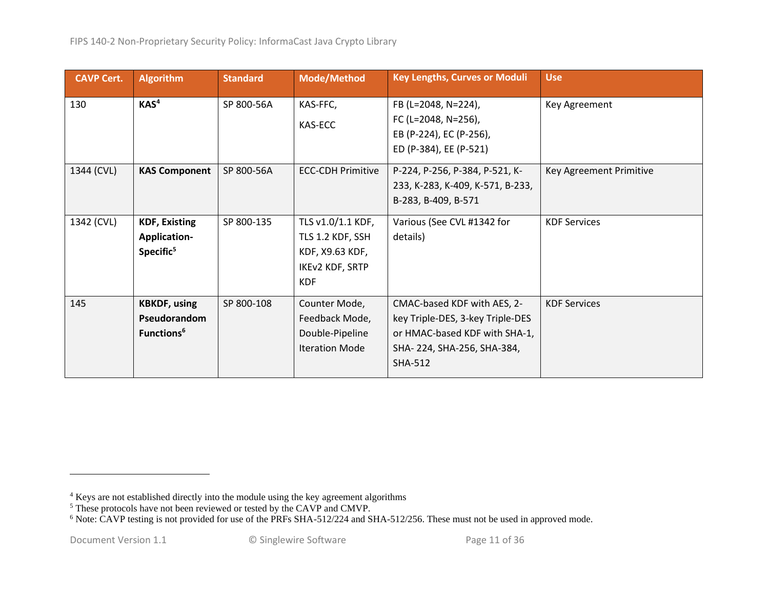| <b>CAVP Cert.</b> | <b>Algorithm</b>                                                     | <b>Standard</b> | Mode/Method                                                                                      | <b>Key Lengths, Curves or Moduli</b>                                                                                                             | <b>Use</b>              |
|-------------------|----------------------------------------------------------------------|-----------------|--------------------------------------------------------------------------------------------------|--------------------------------------------------------------------------------------------------------------------------------------------------|-------------------------|
| 130               | KAS <sup>4</sup>                                                     | SP 800-56A      | KAS-FFC,<br>KAS-ECC                                                                              | FB (L=2048, N=224),<br>FC (L=2048, N=256),<br>EB (P-224), EC (P-256),<br>ED (P-384), EE (P-521)                                                  | Key Agreement           |
| 1344 (CVL)        | <b>KAS Component</b>                                                 | SP 800-56A      | <b>ECC-CDH Primitive</b>                                                                         | P-224, P-256, P-384, P-521, K-<br>233, K-283, K-409, K-571, B-233,<br>B-283, B-409, B-571                                                        | Key Agreement Primitive |
| 1342 (CVL)        | <b>KDF, Existing</b><br><b>Application-</b><br>Specific <sup>5</sup> | SP 800-135      | TLS v1.0/1.1 KDF,<br>TLS 1.2 KDF, SSH<br>KDF, X9.63 KDF,<br><b>IKEV2 KDF, SRTP</b><br><b>KDF</b> | Various (See CVL #1342 for<br>details)                                                                                                           | <b>KDF Services</b>     |
| 145               | <b>KBKDF, using</b><br>Pseudorandom<br>Functions <sup>6</sup>        | SP 800-108      | Counter Mode,<br>Feedback Mode,<br>Double-Pipeline<br><b>Iteration Mode</b>                      | CMAC-based KDF with AES, 2-<br>key Triple-DES, 3-key Triple-DES<br>or HMAC-based KDF with SHA-1,<br>SHA-224, SHA-256, SHA-384,<br><b>SHA-512</b> | <b>KDF Services</b>     |

<sup>&</sup>lt;sup>4</sup> Keys are not established directly into the module using the key agreement algorithms

<sup>&</sup>lt;sup>5</sup> These protocols have not been reviewed or tested by the CAVP and CMVP.

<sup>&</sup>lt;sup>6</sup> Note: CAVP testing is not provided for use of the PRFs SHA-512/224 and SHA-512/256. These must not be used in approved mode.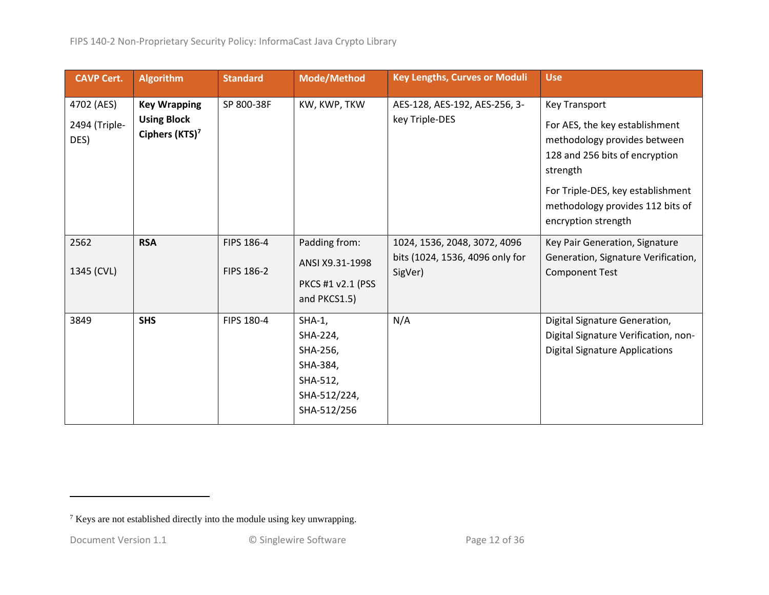| <b>CAVP Cert.</b>                   | <b>Algorithm</b>                                                        | <b>Standard</b>                 | Mode/Method                                                                             | <b>Key Lengths, Curves or Moduli</b>                                       | <b>Use</b>                                                                                                                                                                                                                           |
|-------------------------------------|-------------------------------------------------------------------------|---------------------------------|-----------------------------------------------------------------------------------------|----------------------------------------------------------------------------|--------------------------------------------------------------------------------------------------------------------------------------------------------------------------------------------------------------------------------------|
| 4702 (AES)<br>2494 (Triple-<br>DES) | <b>Key Wrapping</b><br><b>Using Block</b><br>Ciphers (KTS) <sup>7</sup> | SP 800-38F                      | KW, KWP, TKW                                                                            | AES-128, AES-192, AES-256, 3-<br>key Triple-DES                            | <b>Key Transport</b><br>For AES, the key establishment<br>methodology provides between<br>128 and 256 bits of encryption<br>strength<br>For Triple-DES, key establishment<br>methodology provides 112 bits of<br>encryption strength |
| 2562<br>1345 (CVL)                  | <b>RSA</b>                                                              | FIPS 186-4<br><b>FIPS 186-2</b> | Padding from:<br>ANSI X9.31-1998<br>PKCS #1 v2.1 (PSS<br>and PKCS1.5)                   | 1024, 1536, 2048, 3072, 4096<br>bits (1024, 1536, 4096 only for<br>SigVer) | Key Pair Generation, Signature<br>Generation, Signature Verification,<br><b>Component Test</b>                                                                                                                                       |
| 3849                                | <b>SHS</b>                                                              | FIPS 180-4                      | $SHA-1,$<br>SHA-224,<br>SHA-256,<br>SHA-384,<br>SHA-512,<br>SHA-512/224,<br>SHA-512/256 | N/A                                                                        | Digital Signature Generation,<br>Digital Signature Verification, non-<br><b>Digital Signature Applications</b>                                                                                                                       |

<sup>7</sup> Keys are not established directly into the module using key unwrapping.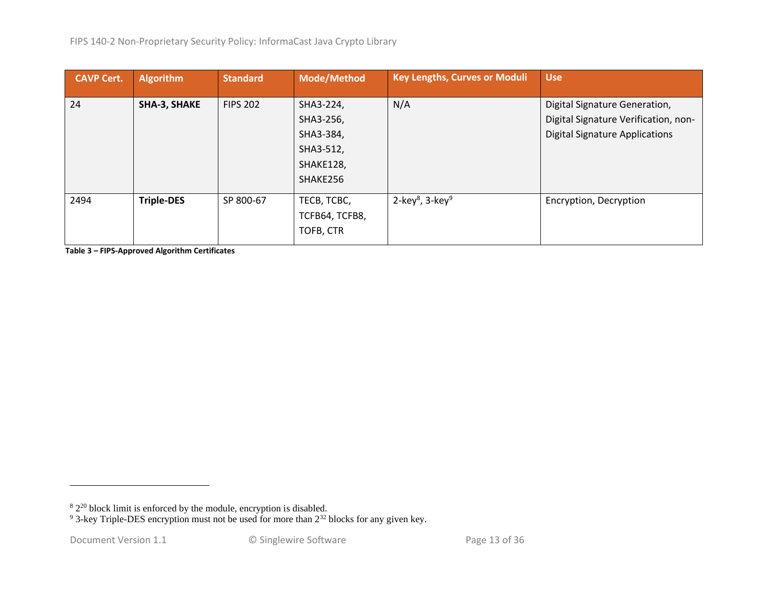| <b>CAVP Cert.</b> | <b>Algorithm</b>    | <b>Standard</b> | <b>Mode/Method</b>                                                        | <b>Key Lengths, Curves or Moduli</b>    | <b>Use</b>                                                                                                     |
|-------------------|---------------------|-----------------|---------------------------------------------------------------------------|-----------------------------------------|----------------------------------------------------------------------------------------------------------------|
| 24                | <b>SHA-3, SHAKE</b> | <b>FIPS 202</b> | SHA3-224,<br>SHA3-256,<br>SHA3-384,<br>SHA3-512,<br>SHAKE128,<br>SHAKE256 | N/A                                     | Digital Signature Generation,<br>Digital Signature Verification, non-<br><b>Digital Signature Applications</b> |
| 2494              | <b>Triple-DES</b>   | SP 800-67       | TECB, TCBC,<br>TCFB64, TCFB8,<br>TOFB, CTR                                | 2-key <sup>8</sup> , 3-key <sup>9</sup> | Encryption, Decryption                                                                                         |

**Table 3 – FIPS-Approved Algorithm Certificates**

 $82^{20}$  block limit is enforced by the module, encryption is disabled.

 $9^9$  3-key Triple-DES encryption must not be used for more than  $2^{32}$  blocks for any given key.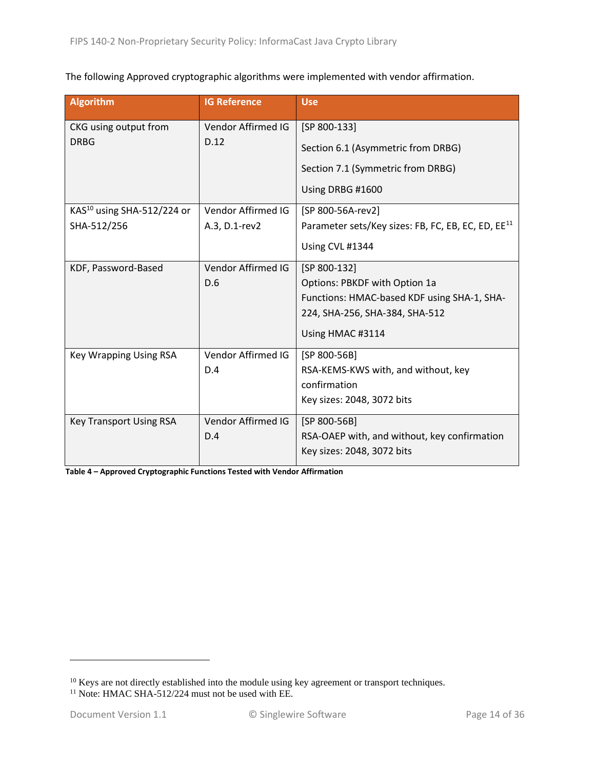The following Approved cryptographic algorithms were implemented with vendor affirmation.

| <b>Algorithm</b>                       | <b>IG Reference</b> | <b>Use</b>                                                     |
|----------------------------------------|---------------------|----------------------------------------------------------------|
| CKG using output from                  | Vendor Affirmed IG  | $[SP 800-133]$                                                 |
| <b>DRBG</b>                            | D.12                | Section 6.1 (Asymmetric from DRBG)                             |
|                                        |                     | Section 7.1 (Symmetric from DRBG)                              |
|                                        |                     | Using DRBG #1600                                               |
| KAS <sup>10</sup> using SHA-512/224 or | Vendor Affirmed IG  | [SP 800-56A-rev2]                                              |
| SHA-512/256                            | A.3, D.1-rev2       | Parameter sets/Key sizes: FB, FC, EB, EC, ED, EE <sup>11</sup> |
|                                        |                     | Using CVL #1344                                                |
| KDF, Password-Based                    | Vendor Affirmed IG  | [SP 800-132]                                                   |
|                                        | D.6                 | Options: PBKDF with Option 1a                                  |
|                                        |                     | Functions: HMAC-based KDF using SHA-1, SHA-                    |
|                                        |                     | 224, SHA-256, SHA-384, SHA-512                                 |
|                                        |                     | Using HMAC #3114                                               |
| <b>Key Wrapping Using RSA</b>          | Vendor Affirmed IG  | [SP 800-56B]                                                   |
|                                        | D.4                 | RSA-KEMS-KWS with, and without, key                            |
|                                        |                     | confirmation                                                   |
|                                        |                     | Key sizes: 2048, 3072 bits                                     |
| <b>Key Transport Using RSA</b>         | Vendor Affirmed IG  | [SP 800-56B]                                                   |
|                                        | D.4                 | RSA-OAEP with, and without, key confirmation                   |
|                                        |                     | Key sizes: 2048, 3072 bits                                     |

**Table 4 – Approved Cryptographic Functions Tested with Vendor Affirmation**

<sup>&</sup>lt;sup>10</sup> Keys are not directly established into the module using key agreement or transport techniques.

<sup>&</sup>lt;sup>11</sup> Note: HMAC SHA-512/224 must not be used with EE.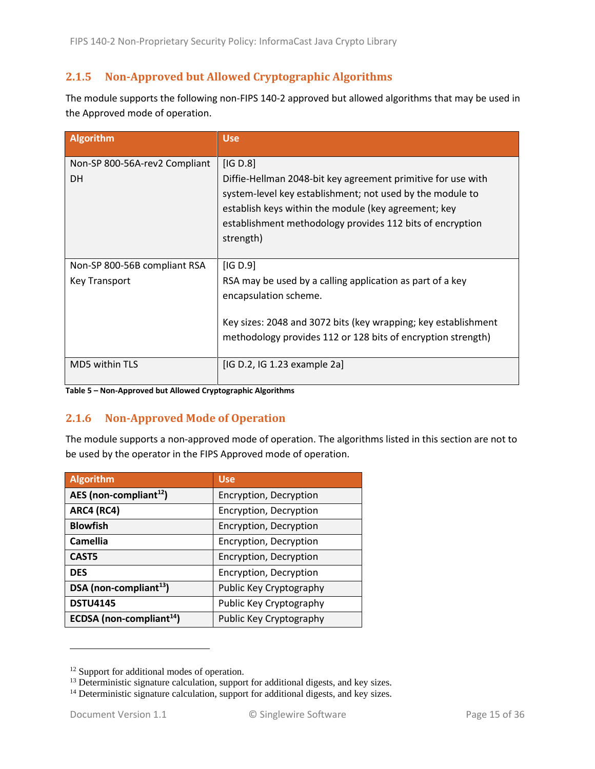### <span id="page-14-0"></span>**2.1.5 Non-Approved but Allowed Cryptographic Algorithms**

The module supports the following non-FIPS 140-2 approved but allowed algorithms that may be used in the Approved mode of operation.

| <b>Algorithm</b>                                     | <b>Use</b>                                                                                                                                                                                                                                                              |
|------------------------------------------------------|-------------------------------------------------------------------------------------------------------------------------------------------------------------------------------------------------------------------------------------------------------------------------|
| Non-SP 800-56A-rev2 Compliant<br><b>DH</b>           | [IG D.8]<br>Diffie-Hellman 2048-bit key agreement primitive for use with<br>system-level key establishment; not used by the module to<br>establish keys within the module (key agreement; key<br>establishment methodology provides 112 bits of encryption<br>strength) |
| Non-SP 800-56B compliant RSA<br><b>Key Transport</b> | [IG D.9]<br>RSA may be used by a calling application as part of a key<br>encapsulation scheme.<br>Key sizes: 2048 and 3072 bits (key wrapping; key establishment<br>methodology provides 112 or 128 bits of encryption strength)                                        |
| MD5 within TLS                                       | [IG D.2, IG 1.23 example 2a]                                                                                                                                                                                                                                            |

**Table 5 – Non-Approved but Allowed Cryptographic Algorithms**

#### <span id="page-14-1"></span>**2.1.6 Non-Approved Mode of Operation**

The module supports a non-approved mode of operation. The algorithms listed in this section are not to be used by the operator in the FIPS Approved mode of operation.

| <b>Algorithm</b>                     | <b>Use</b>              |
|--------------------------------------|-------------------------|
| AES (non-compliant $^{12}$ )         | Encryption, Decryption  |
| <b>ARC4 (RC4)</b>                    | Encryption, Decryption  |
| <b>Blowfish</b>                      | Encryption, Decryption  |
| <b>Camellia</b>                      | Encryption, Decryption  |
| CAST <sub>5</sub>                    | Encryption, Decryption  |
| <b>DES</b>                           | Encryption, Decryption  |
| DSA (non-compliant <sup>13</sup> )   | Public Key Cryptography |
| <b>DSTU4145</b>                      | Public Key Cryptography |
| ECDSA (non-compliant <sup>14</sup> ) | Public Key Cryptography |

<sup>&</sup>lt;sup>12</sup> Support for additional modes of operation.

 $13$  Deterministic signature calculation, support for additional digests, and key sizes.

<sup>&</sup>lt;sup>14</sup> Deterministic signature calculation, support for additional digests, and key sizes.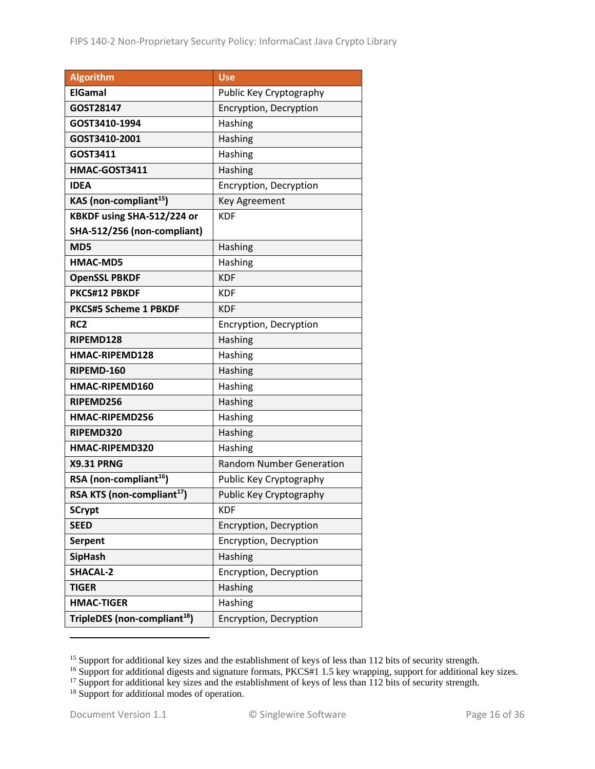| <b>Algorithm</b>                         | <b>Use</b>                      |
|------------------------------------------|---------------------------------|
| <b>ElGamal</b>                           | Public Key Cryptography         |
| GOST28147                                | Encryption, Decryption          |
| GOST3410-1994                            | Hashing                         |
| GOST3410-2001                            | Hashing                         |
| GOST3411                                 | Hashing                         |
| HMAC-GOST3411                            | Hashing                         |
| <b>IDEA</b>                              | Encryption, Decryption          |
| KAS (non-compliant <sup>15</sup> )       | <b>Key Agreement</b>            |
| KBKDF using SHA-512/224 or               | <b>KDF</b>                      |
| SHA-512/256 (non-compliant)              |                                 |
| M <sub>D</sub> <sub>5</sub>              | Hashing                         |
| <b>HMAC-MD5</b>                          | Hashing                         |
| <b>OpenSSL PBKDF</b>                     | <b>KDF</b>                      |
| PKCS#12 PBKDF                            | <b>KDF</b>                      |
| <b>PKCS#5 Scheme 1 PBKDF</b>             | <b>KDF</b>                      |
| RC <sub>2</sub>                          | Encryption, Decryption          |
| RIPEMD128                                | Hashing                         |
| HMAC-RIPEMD128                           | Hashing                         |
| RIPEMD-160                               | Hashing                         |
| HMAC-RIPEMD160                           | Hashing                         |
| RIPEMD256                                | Hashing                         |
| HMAC-RIPEMD256                           | Hashing                         |
| RIPEMD320                                | Hashing                         |
| HMAC-RIPEMD320                           | Hashing                         |
| <b>X9.31 PRNG</b>                        | <b>Random Number Generation</b> |
| RSA (non-compliant <sup>16</sup> )       | Public Key Cryptography         |
| RSA KTS (non-compliant <sup>17</sup> )   | Public Key Cryptography         |
| <b>SCrypt</b>                            | <b>KDF</b>                      |
| <b>SEED</b>                              | Encryption, Decryption          |
| <b>Serpent</b>                           | Encryption, Decryption          |
| <b>SipHash</b>                           | Hashing                         |
| <b>SHACAL-2</b>                          | Encryption, Decryption          |
| <b>TIGER</b>                             | Hashing                         |
| <b>HMAC-TIGER</b>                        | Hashing                         |
| TripleDES (non-compliant <sup>18</sup> ) | Encryption, Decryption          |

<sup>&</sup>lt;sup>15</sup> Support for additional key sizes and the establishment of keys of less than 112 bits of security strength.

<sup>&</sup>lt;sup>16</sup> Support for additional digests and signature formats, PKCS#1 1.5 key wrapping, support for additional key sizes.

 $17$  Support for additional key sizes and the establishment of keys of less than 112 bits of security strength.

<sup>&</sup>lt;sup>18</sup> Support for additional modes of operation.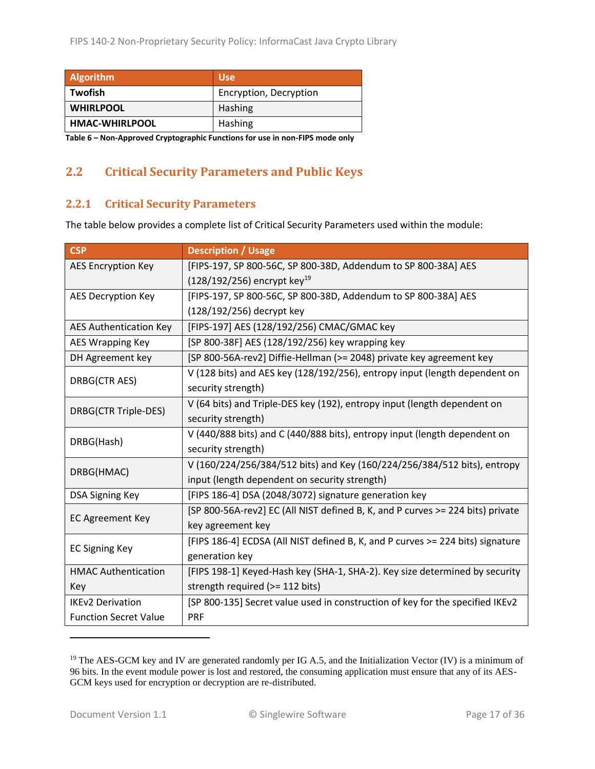| <b>Algorithm</b>                                                              | <b>Use</b>             |  |  |  |
|-------------------------------------------------------------------------------|------------------------|--|--|--|
| Twofish                                                                       | Encryption, Decryption |  |  |  |
| <b>WHIRLPOOL</b>                                                              | Hashing                |  |  |  |
| <b>HMAC-WHIRLPOOL</b>                                                         | Hashing                |  |  |  |
| Table C., New Amproved Counterpolity Functions for use in new FIDC mode apply |                        |  |  |  |

**Table 6 – Non-Approved Cryptographic Functions for use in non-FIPS mode only**

## <span id="page-16-0"></span>**2.2 Critical Security Parameters and Public Keys**

#### <span id="page-16-1"></span>**2.2.1 Critical Security Parameters**

The table below provides a complete list of Critical Security Parameters used within the module:

| <b>CSP</b>                    | <b>Description / Usage</b>                                                     |  |  |  |
|-------------------------------|--------------------------------------------------------------------------------|--|--|--|
| <b>AES Encryption Key</b>     | [FIPS-197, SP 800-56C, SP 800-38D, Addendum to SP 800-38A] AES                 |  |  |  |
|                               | $(128/192/256)$ encrypt key <sup>19</sup>                                      |  |  |  |
| <b>AES Decryption Key</b>     | [FIPS-197, SP 800-56C, SP 800-38D, Addendum to SP 800-38A] AES                 |  |  |  |
|                               | (128/192/256) decrypt key                                                      |  |  |  |
| <b>AES Authentication Key</b> | [FIPS-197] AES (128/192/256) CMAC/GMAC key                                     |  |  |  |
| <b>AES Wrapping Key</b>       | [SP 800-38F] AES (128/192/256) key wrapping key                                |  |  |  |
| DH Agreement key              | [SP 800-56A-rev2] Diffie-Hellman (>= 2048) private key agreement key           |  |  |  |
| DRBG(CTR AES)                 | V (128 bits) and AES key (128/192/256), entropy input (length dependent on     |  |  |  |
|                               | security strength)                                                             |  |  |  |
| DRBG(CTR Triple-DES)          | V (64 bits) and Triple-DES key (192), entropy input (length dependent on       |  |  |  |
|                               | security strength)                                                             |  |  |  |
| DRBG(Hash)                    | V (440/888 bits) and C (440/888 bits), entropy input (length dependent on      |  |  |  |
|                               | security strength)                                                             |  |  |  |
| DRBG(HMAC)                    | V (160/224/256/384/512 bits) and Key (160/224/256/384/512 bits), entropy       |  |  |  |
|                               | input (length dependent on security strength)                                  |  |  |  |
| <b>DSA Signing Key</b>        | [FIPS 186-4] DSA (2048/3072) signature generation key                          |  |  |  |
| <b>EC Agreement Key</b>       | [SP 800-56A-rev2] EC (All NIST defined B, K, and P curves >= 224 bits) private |  |  |  |
|                               | key agreement key                                                              |  |  |  |
| <b>EC Signing Key</b>         | [FIPS 186-4] ECDSA (All NIST defined B, K, and P curves >= 224 bits) signature |  |  |  |
|                               | generation key                                                                 |  |  |  |
| <b>HMAC Authentication</b>    | [FIPS 198-1] Keyed-Hash key (SHA-1, SHA-2). Key size determined by security    |  |  |  |
| Key                           | strength required (>= 112 bits)                                                |  |  |  |
| <b>IKEv2 Derivation</b>       | [SP 800-135] Secret value used in construction of key for the specified IKEv2  |  |  |  |
| <b>Function Secret Value</b>  | <b>PRF</b>                                                                     |  |  |  |

<sup>&</sup>lt;sup>19</sup> The AES-GCM key and IV are generated randomly per IG A.5, and the Initialization Vector (IV) is a minimum of 96 bits. In the event module power is lost and restored, the consuming application must ensure that any of its AES-GCM keys used for encryption or decryption are re-distributed.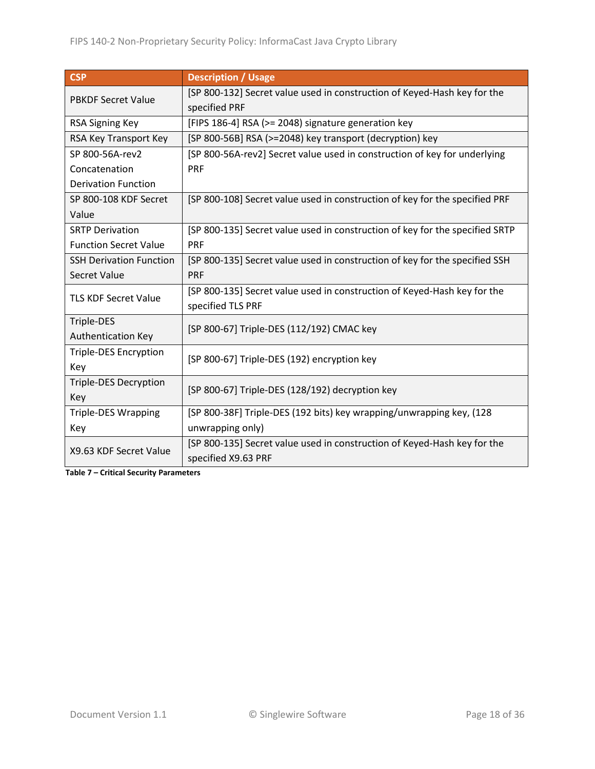| <b>CSP</b>                     | <b>Description / Usage</b>                                                   |
|--------------------------------|------------------------------------------------------------------------------|
| <b>PBKDF Secret Value</b>      | [SP 800-132] Secret value used in construction of Keyed-Hash key for the     |
|                                | specified PRF                                                                |
| <b>RSA Signing Key</b>         | [FIPS 186-4] RSA (>= 2048) signature generation key                          |
| RSA Key Transport Key          | [SP 800-56B] RSA (>=2048) key transport (decryption) key                     |
| SP 800-56A-rev2                | [SP 800-56A-rev2] Secret value used in construction of key for underlying    |
| Concatenation                  | <b>PRF</b>                                                                   |
| <b>Derivation Function</b>     |                                                                              |
| SP 800-108 KDF Secret          | [SP 800-108] Secret value used in construction of key for the specified PRF  |
| Value                          |                                                                              |
| <b>SRTP Derivation</b>         | [SP 800-135] Secret value used in construction of key for the specified SRTP |
| <b>Function Secret Value</b>   | <b>PRF</b>                                                                   |
| <b>SSH Derivation Function</b> | [SP 800-135] Secret value used in construction of key for the specified SSH  |
| <b>Secret Value</b>            | PRF                                                                          |
| <b>TLS KDF Secret Value</b>    | [SP 800-135] Secret value used in construction of Keyed-Hash key for the     |
|                                | specified TLS PRF                                                            |
| Triple-DES                     | [SP 800-67] Triple-DES (112/192) CMAC key                                    |
| Authentication Key             |                                                                              |
| <b>Triple-DES Encryption</b>   | [SP 800-67] Triple-DES (192) encryption key                                  |
| Key                            |                                                                              |
| <b>Triple-DES Decryption</b>   | [SP 800-67] Triple-DES (128/192) decryption key                              |
| Key                            |                                                                              |
| <b>Triple-DES Wrapping</b>     | [SP 800-38F] Triple-DES (192 bits) key wrapping/unwrapping key, (128         |
| Key                            | unwrapping only)                                                             |
| X9.63 KDF Secret Value         | [SP 800-135] Secret value used in construction of Keyed-Hash key for the     |
|                                | specified X9.63 PRF                                                          |

**Table 7 – Critical Security Parameters**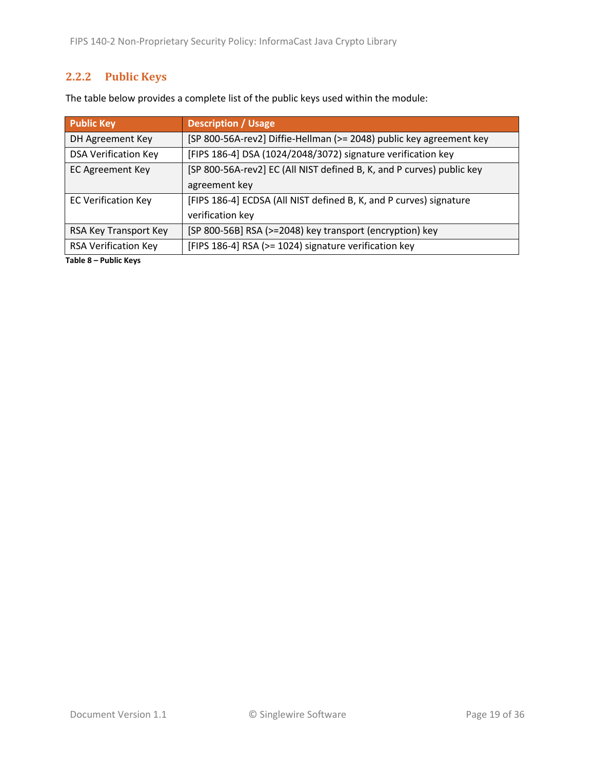## <span id="page-18-0"></span>**2.2.2 Public Keys**

| <b>Public Key</b>           | <b>Description / Usage</b>                                            |
|-----------------------------|-----------------------------------------------------------------------|
| DH Agreement Key            | [SP 800-56A-rev2] Diffie-Hellman (>= 2048) public key agreement key   |
| <b>DSA Verification Key</b> | [FIPS 186-4] DSA (1024/2048/3072) signature verification key          |
| <b>EC Agreement Key</b>     | [SP 800-56A-rev2] EC (All NIST defined B, K, and P curves) public key |
|                             | agreement key                                                         |
| <b>EC Verification Key</b>  | [FIPS 186-4] ECDSA (All NIST defined B, K, and P curves) signature    |
|                             | verification key                                                      |
| RSA Key Transport Key       | [SP 800-56B] RSA (>=2048) key transport (encryption) key              |
| <b>RSA Verification Key</b> | [FIPS 186-4] RSA (>= 1024) signature verification key                 |

The table below provides a complete list of the public keys used within the module:

**Table 8 – Public Keys**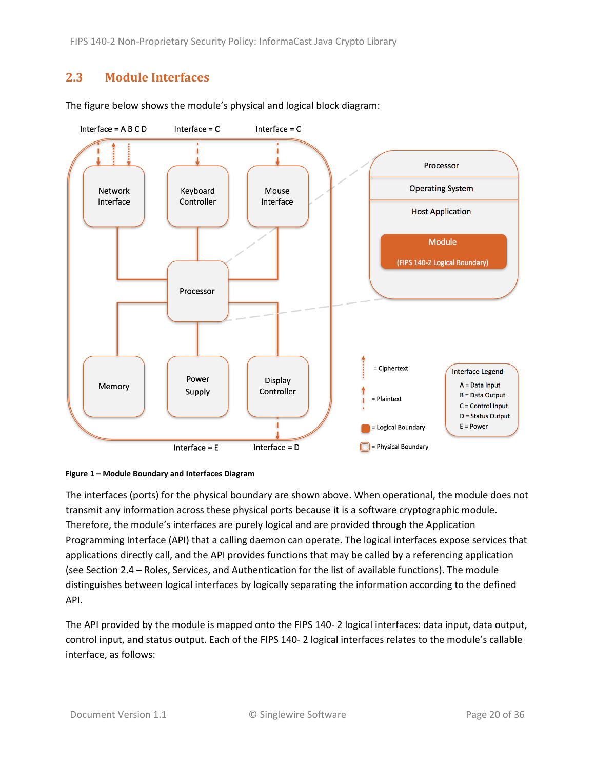FIPS 140-2 Non-Proprietary Security Policy: InformaCast Java Crypto Library

## <span id="page-19-0"></span>**2.3 Module Interfaces**





<span id="page-19-1"></span>

The interfaces (ports) for the physical boundary are shown above. When operational, the module does not transmit any information across these physical ports because it is a software cryptographic module. Therefore, the module's interfaces are purely logical and are provided through the Application Programming Interface (API) that a calling daemon can operate. The logical interfaces expose services that applications directly call, and the API provides functions that may be called by a referencing application (see Section [2.4](#page-20-0) – [Roles, Services, and Authentication](#page-20-0) for the list of available functions). The module distinguishes between logical interfaces by logically separating the information according to the defined API.

The API provided by the module is mapped onto the FIPS 140- 2 logical interfaces: data input, data output, control input, and status output. Each of the FIPS 140- 2 logical interfaces relates to the module's callable interface, as follows: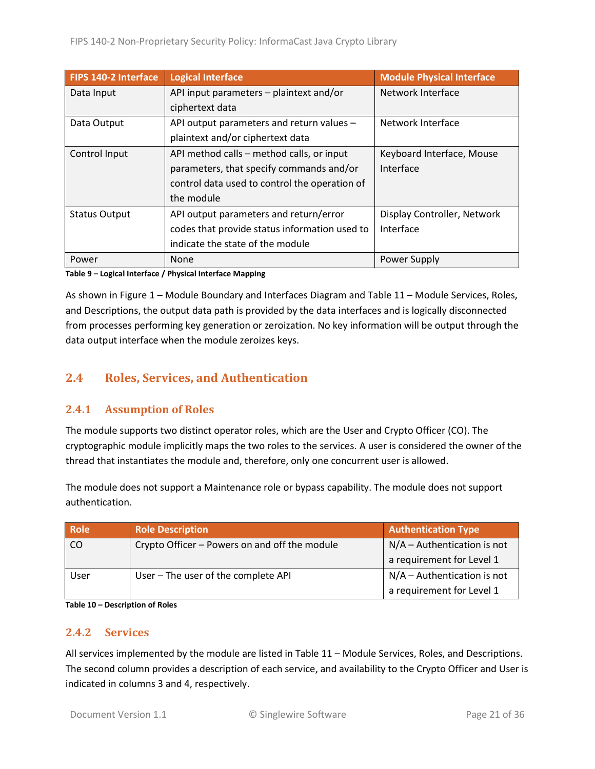| FIPS 140-2 Interface | <b>Logical Interface</b>                      | <b>Module Physical Interface</b> |
|----------------------|-----------------------------------------------|----------------------------------|
| Data Input           | API input parameters - plaintext and/or       | Network Interface                |
|                      | ciphertext data                               |                                  |
| Data Output          | API output parameters and return values -     | Network Interface                |
|                      | plaintext and/or ciphertext data              |                                  |
| Control Input        | API method calls - method calls, or input     | Keyboard Interface, Mouse        |
|                      | parameters, that specify commands and/or      | Interface                        |
|                      | control data used to control the operation of |                                  |
|                      | the module                                    |                                  |
| <b>Status Output</b> | API output parameters and return/error        | Display Controller, Network      |
|                      | codes that provide status information used to | Interface                        |
|                      | indicate the state of the module              |                                  |
| Power                | <b>None</b>                                   | Power Supply                     |

**Table 9 – Logical Interface / Physical Interface Mapping**

As shown in Figure 1 – [Module Boundary and Interfaces Diagram](#page-19-1) and Table 11 – Module [Services, Roles,](#page-22-0) [and Descriptions,](#page-22-0) the output data path is provided by the data interfaces and is logically disconnected from processes performing key generation or zeroization. No key information will be output through the data output interface when the module zeroizes keys.

## <span id="page-20-0"></span>**2.4 Roles, Services, and Authentication**

#### <span id="page-20-1"></span>**2.4.1 Assumption of Roles**

The module supports two distinct operator roles, which are the User and Crypto Officer (CO). The cryptographic module implicitly maps the two roles to the services. A user is considered the owner of the thread that instantiates the module and, therefore, only one concurrent user is allowed.

The module does not support a Maintenance role or bypass capability. The module does not support authentication.

| <b>Role</b> | <b>Role Description</b>                       | <b>Authentication Type</b>    |
|-------------|-----------------------------------------------|-------------------------------|
| CO          | Crypto Officer - Powers on and off the module | $N/A -$ Authentication is not |
|             |                                               | a requirement for Level 1     |
| User        | User - The user of the complete API           | $N/A -$ Authentication is not |
|             |                                               | a requirement for Level 1     |

**Table 10 – Description of Roles**

#### <span id="page-20-2"></span>**2.4.2 Services**

All services implemented by the module are listed in Table 11 – Module Services, Roles, [and Descriptions.](#page-22-0) The second column provides a description of each service, and availability to the Crypto Officer and User is indicated in columns 3 and 4, respectively.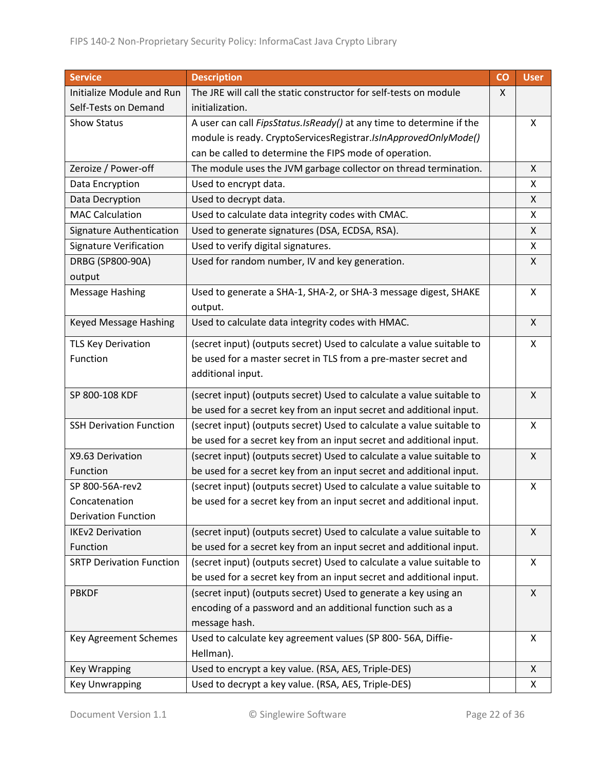| <b>Service</b>                  | <b>Description</b>                                                          | CO | <b>User</b> |
|---------------------------------|-----------------------------------------------------------------------------|----|-------------|
| Initialize Module and Run       | The JRE will call the static constructor for self-tests on module           | X  |             |
| Self-Tests on Demand            | initialization.                                                             |    |             |
| <b>Show Status</b>              | A user can call <i>FipsStatus.IsReady()</i> at any time to determine if the |    | X           |
|                                 | module is ready. CryptoServicesRegistrar.IsInApprovedOnlyMode()             |    |             |
|                                 | can be called to determine the FIPS mode of operation.                      |    |             |
| Zeroize / Power-off             | The module uses the JVM garbage collector on thread termination.            |    | X           |
| Data Encryption                 | Used to encrypt data.                                                       |    | X           |
| Data Decryption                 | Used to decrypt data.                                                       |    | X           |
| <b>MAC Calculation</b>          | Used to calculate data integrity codes with CMAC.                           |    | X           |
| Signature Authentication        | Used to generate signatures (DSA, ECDSA, RSA).                              |    | X           |
| <b>Signature Verification</b>   | Used to verify digital signatures.                                          |    | X           |
| DRBG (SP800-90A)                | Used for random number, IV and key generation.                              |    | X           |
| output                          |                                                                             |    |             |
| <b>Message Hashing</b>          | Used to generate a SHA-1, SHA-2, or SHA-3 message digest, SHAKE             |    | X           |
|                                 | output.                                                                     |    |             |
| Keyed Message Hashing           | Used to calculate data integrity codes with HMAC.                           |    | X           |
| <b>TLS Key Derivation</b>       | (secret input) (outputs secret) Used to calculate a value suitable to       |    | X           |
| Function                        | be used for a master secret in TLS from a pre-master secret and             |    |             |
|                                 | additional input.                                                           |    |             |
| SP 800-108 KDF                  | (secret input) (outputs secret) Used to calculate a value suitable to       |    | X           |
|                                 | be used for a secret key from an input secret and additional input.         |    |             |
| <b>SSH Derivation Function</b>  | (secret input) (outputs secret) Used to calculate a value suitable to       |    | X           |
|                                 | be used for a secret key from an input secret and additional input.         |    |             |
| X9.63 Derivation                | (secret input) (outputs secret) Used to calculate a value suitable to       |    | X           |
| Function                        | be used for a secret key from an input secret and additional input.         |    |             |
| SP 800-56A-rev2                 | (secret input) (outputs secret) Used to calculate a value suitable to       |    | X           |
| Concatenation                   | be used for a secret key from an input secret and additional input.         |    |             |
| <b>Derivation Function</b>      |                                                                             |    |             |
| <b>IKEv2 Derivation</b>         | (secret input) (outputs secret) Used to calculate a value suitable to       |    | X           |
| Function                        | be used for a secret key from an input secret and additional input.         |    |             |
| <b>SRTP Derivation Function</b> | (secret input) (outputs secret) Used to calculate a value suitable to       |    | X           |
|                                 | be used for a secret key from an input secret and additional input.         |    |             |
| <b>PBKDF</b>                    | (secret input) (outputs secret) Used to generate a key using an             |    | X           |
|                                 | encoding of a password and an additional function such as a                 |    |             |
|                                 | message hash.                                                               |    |             |
| <b>Key Agreement Schemes</b>    | Used to calculate key agreement values (SP 800-56A, Diffie-                 |    | X           |
|                                 | Hellman).                                                                   |    |             |
| <b>Key Wrapping</b>             | Used to encrypt a key value. (RSA, AES, Triple-DES)                         |    | X           |
| <b>Key Unwrapping</b>           | Used to decrypt a key value. (RSA, AES, Triple-DES)                         |    | X           |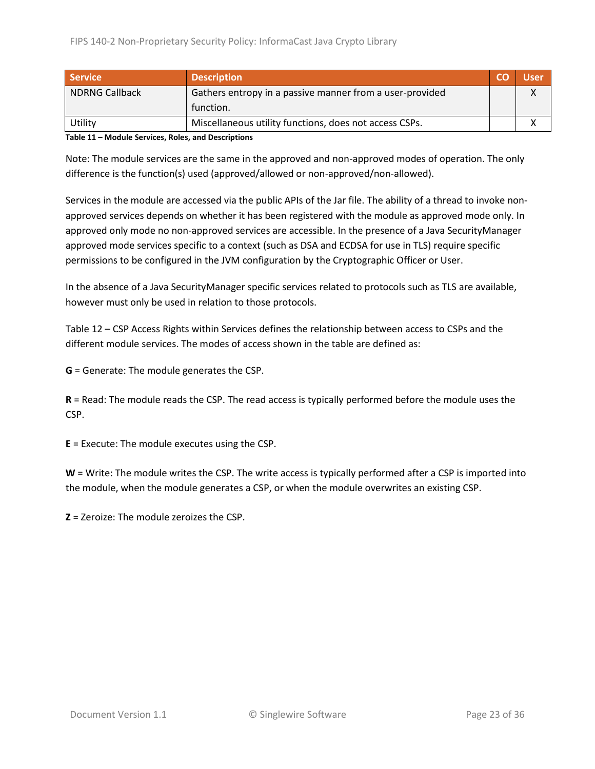| <b>Service</b>        | <b>Description</b>                                       |  | Usen |
|-----------------------|----------------------------------------------------------|--|------|
| <b>NDRNG Callback</b> | Gathers entropy in a passive manner from a user-provided |  |      |
|                       | function.                                                |  |      |
| Utility               | Miscellaneous utility functions, does not access CSPs.   |  |      |

<span id="page-22-0"></span>**Table 11 – Module Services, Roles, and Descriptions**

Note: The module services are the same in the approved and non-approved modes of operation. The only difference is the function(s) used (approved/allowed or non-approved/non-allowed).

Services in the module are accessed via the public APIs of the Jar file. The ability of a thread to invoke nonapproved services depends on whether it has been registered with the module as approved mode only. In approved only mode no non-approved services are accessible. In the presence of a Java SecurityManager approved mode services specific to a context (such as DSA and ECDSA for use in TLS) require specific permissions to be configured in the JVM configuration by the Cryptographic Officer or User.

In the absence of a Java SecurityManager specific services related to protocols such as TLS are available, however must only be used in relation to those protocols.

Table 12 – [CSP Access Rights within Services](#page-24-2) defines the relationship between access to CSPs and the different module services. The modes of access shown in the table are defined as:

**G** = Generate: The module generates the CSP.

**R** = Read: The module reads the CSP. The read access is typically performed before the module uses the CSP.

**E** = Execute: The module executes using the CSP.

**W** = Write: The module writes the CSP. The write access is typically performed after a CSP is imported into the module, when the module generates a CSP, or when the module overwrites an existing CSP.

**Z** = Zeroize: The module zeroizes the CSP.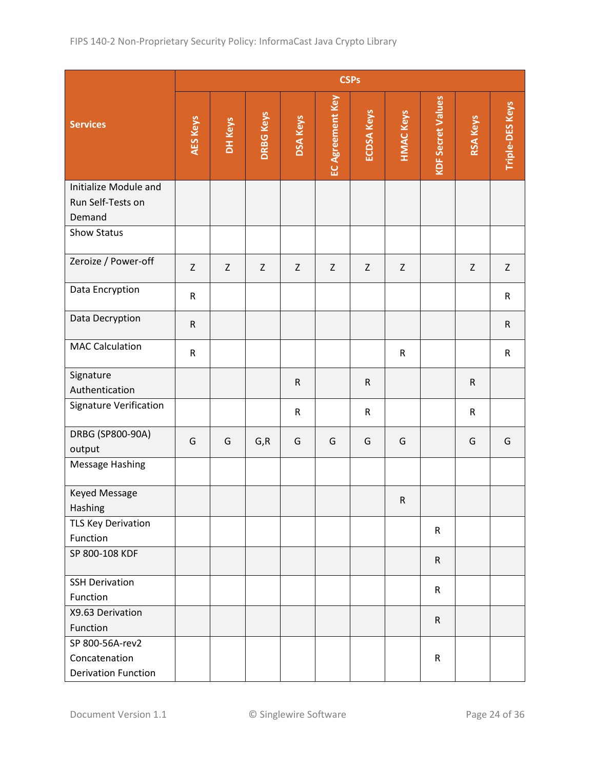| DH Keys     | <b>DRBG Keys</b> | <b>DSA Keys</b> | EC Agreement Key |                   |                  |                          |                 |                        |
|-------------|------------------|-----------------|------------------|-------------------|------------------|--------------------------|-----------------|------------------------|
|             |                  |                 |                  | <b>ECDSA Keys</b> | <b>HMAC Keys</b> | <b>KDF Secret Values</b> | <b>RSA Keys</b> | <b>Triple-DES Keys</b> |
|             |                  |                 |                  |                   |                  |                          |                 |                        |
|             |                  |                 |                  |                   |                  |                          |                 |                        |
| $\mathsf Z$ | Z                | $\mathsf Z$     | Z                | Z                 | $\mathsf Z$      |                          | Z               | Z                      |
|             |                  |                 |                  |                   |                  |                          |                 | $\mathsf{R}$           |
|             |                  |                 |                  |                   |                  |                          |                 | $\mathsf{R}$           |
|             |                  |                 |                  |                   | ${\sf R}$        |                          |                 | $\mathsf{R}$           |
|             |                  | $\mathsf{R}$    |                  | $\mathsf R$       |                  |                          | $\mathsf{R}$    |                        |
|             |                  | $\mathsf R$     |                  | $\mathsf{R}$      |                  |                          | $\mathsf{R}$    |                        |
| G           | G, R             | G               | G                | G                 | G                |                          | G               | G                      |
|             |                  |                 |                  |                   |                  |                          |                 |                        |
|             |                  |                 |                  |                   | ${\sf R}$        |                          |                 |                        |
|             |                  |                 |                  |                   |                  | $\mathsf{R}$             |                 |                        |
|             |                  |                 |                  |                   |                  | $\mathsf{R}$             |                 |                        |
|             |                  |                 |                  |                   |                  | $\mathsf{R}$             |                 |                        |
|             |                  |                 |                  |                   |                  | $\mathsf{R}$             |                 |                        |
|             |                  |                 |                  |                   |                  | ${\sf R}$                |                 |                        |
|             |                  |                 |                  |                   |                  |                          |                 |                        |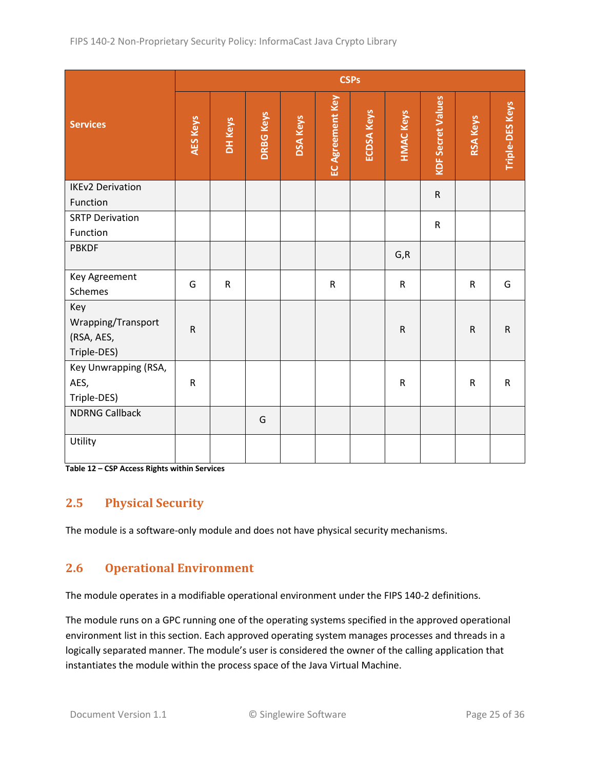|                                                        | <b>CSPs</b>     |              |                  |                 |                  |                   |                  |                          |                 |                        |
|--------------------------------------------------------|-----------------|--------------|------------------|-----------------|------------------|-------------------|------------------|--------------------------|-----------------|------------------------|
| <b>Services</b>                                        | <b>AES Keys</b> | DH Keys      | <b>DRBG Keys</b> | <b>DSA Keys</b> | EC Agreement Key | <b>ECDSA Keys</b> | <b>HMAC Keys</b> | <b>KDF Secret Values</b> | <b>RSA Keys</b> | <b>Triple-DES Keys</b> |
| <b>IKEv2 Derivation</b>                                |                 |              |                  |                 |                  |                   |                  | ${\sf R}$                |                 |                        |
| Function                                               |                 |              |                  |                 |                  |                   |                  |                          |                 |                        |
| <b>SRTP Derivation</b><br>Function                     |                 |              |                  |                 |                  |                   |                  | ${\sf R}$                |                 |                        |
| <b>PBKDF</b>                                           |                 |              |                  |                 |                  |                   | G, R             |                          |                 |                        |
| Key Agreement<br>Schemes                               | G               | $\mathsf{R}$ |                  |                 | $\mathsf{R}$     |                   | ${\sf R}$        |                          | $\mathsf{R}$    | G                      |
| Key<br>Wrapping/Transport<br>(RSA, AES,<br>Triple-DES) | $\mathsf{R}$    |              |                  |                 |                  |                   | $\mathsf R$      |                          | ${\sf R}$       | ${\sf R}$              |
| Key Unwrapping (RSA,<br>AES,<br>Triple-DES)            | ${\sf R}$       |              |                  |                 |                  |                   | $\mathsf{R}$     |                          | ${\sf R}$       | $\mathsf R$            |
| <b>NDRNG Callback</b>                                  |                 |              | G                |                 |                  |                   |                  |                          |                 |                        |
| Utility                                                |                 |              |                  |                 |                  |                   |                  |                          |                 |                        |

<span id="page-24-2"></span>**Table 12 – CSP Access Rights within Services**

## <span id="page-24-0"></span>**2.5 Physical Security**

The module is a software-only module and does not have physical security mechanisms.

### <span id="page-24-1"></span>**2.6 Operational Environment**

The module operates in a modifiable operational environment under the FIPS 140-2 definitions.

The module runs on a GPC running one of the operating systems specified in the approved operational environment list in this section. Each approved operating system manages processes and threads in a logically separated manner. The module's user is considered the owner of the calling application that instantiates the module within the process space of the Java Virtual Machine.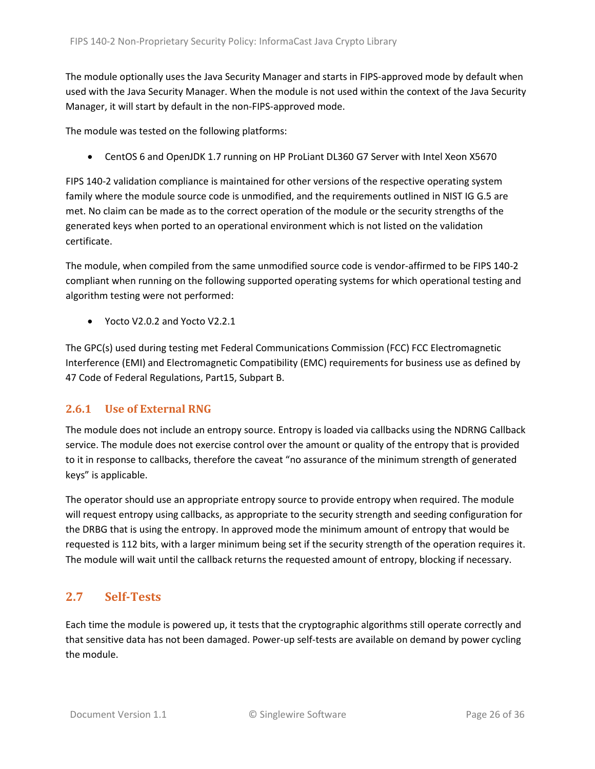The module optionally uses the Java Security Manager and starts in FIPS-approved mode by default when used with the Java Security Manager. When the module is not used within the context of the Java Security Manager, it will start by default in the non-FIPS-approved mode.

The module was tested on the following platforms:

• CentOS 6 and OpenJDK 1.7 running on HP ProLiant DL360 G7 Server with Intel Xeon X5670

FIPS 140-2 validation compliance is maintained for other versions of the respective operating system family where the module source code is unmodified, and the requirements outlined in NIST IG G.5 are met. No claim can be made as to the correct operation of the module or the security strengths of the generated keys when ported to an operational environment which is not listed on the validation certificate.

The module, when compiled from the same unmodified source code is vendor-affirmed to be FIPS 140-2 compliant when running on the following supported operating systems for which operational testing and algorithm testing were not performed:

• Yocto V2.0.2 and Yocto V2.2.1

The GPC(s) used during testing met Federal Communications Commission (FCC) FCC Electromagnetic Interference (EMI) and Electromagnetic Compatibility (EMC) requirements for business use as defined by 47 Code of Federal Regulations, Part15, Subpart B.

### <span id="page-25-0"></span>**2.6.1 Use of External RNG**

The module does not include an entropy source. Entropy is loaded via callbacks using the NDRNG Callback service. The module does not exercise control over the amount or quality of the entropy that is provided to it in response to callbacks, therefore the caveat "no assurance of the minimum strength of generated keys" is applicable.

The operator should use an appropriate entropy source to provide entropy when required. The module will request entropy using callbacks, as appropriate to the security strength and seeding configuration for the DRBG that is using the entropy. In approved mode the minimum amount of entropy that would be requested is 112 bits, with a larger minimum being set if the security strength of the operation requires it. The module will wait until the callback returns the requested amount of entropy, blocking if necessary.

## <span id="page-25-1"></span>**2.7 Self-Tests**

Each time the module is powered up, it tests that the cryptographic algorithms still operate correctly and that sensitive data has not been damaged. Power-up self-tests are available on demand by power cycling the module.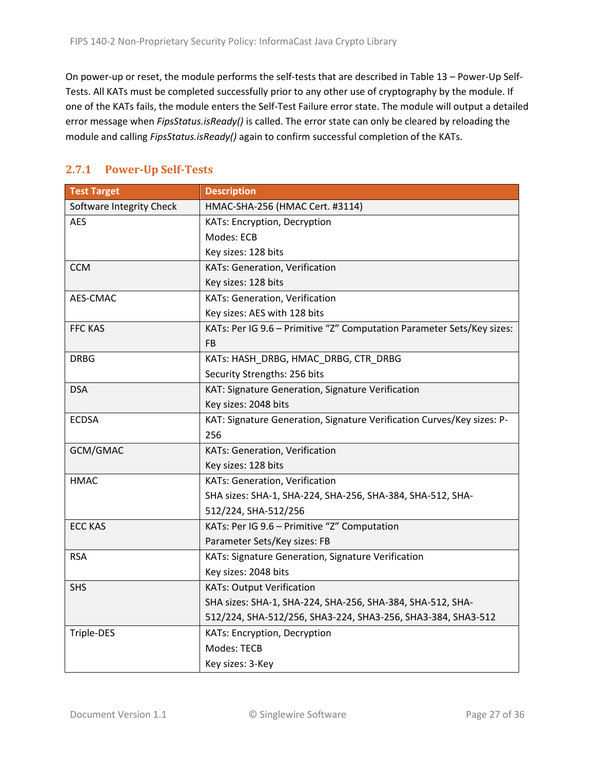On power-up or reset, the module performs the self-tests that are described in Table 13 – [Power-Up](#page-27-2) Self-[Tests.](#page-27-2) All KATs must be completed successfully prior to any other use of cryptography by the module. If one of the KATs fails, the module enters the Self-Test Failure error state. The module will output a detailed error message when *FipsStatus.isReady()* is called. The error state can only be cleared by reloading the module and calling *FipsStatus.isReady()* again to confirm successful completion of the KATs.

| <b>Test Target</b>       | <b>Description</b>                                                     |
|--------------------------|------------------------------------------------------------------------|
| Software Integrity Check | HMAC-SHA-256 (HMAC Cert. #3114)                                        |
| <b>AES</b>               | KATs: Encryption, Decryption                                           |
|                          | Modes: ECB                                                             |
|                          | Key sizes: 128 bits                                                    |
| <b>CCM</b>               | KATs: Generation, Verification                                         |
|                          | Key sizes: 128 bits                                                    |
| AES-CMAC                 | KATs: Generation, Verification                                         |
|                          | Key sizes: AES with 128 bits                                           |
| <b>FFC KAS</b>           | KATs: Per IG 9.6 - Primitive "Z" Computation Parameter Sets/Key sizes: |
|                          | <b>FB</b>                                                              |
| <b>DRBG</b>              | KATs: HASH DRBG, HMAC DRBG, CTR DRBG                                   |
|                          | Security Strengths: 256 bits                                           |
| <b>DSA</b>               | KAT: Signature Generation, Signature Verification                      |
|                          | Key sizes: 2048 bits                                                   |
| <b>ECDSA</b>             | KAT: Signature Generation, Signature Verification Curves/Key sizes: P- |
|                          | 256                                                                    |
| GCM/GMAC                 | KATs: Generation, Verification                                         |
|                          | Key sizes: 128 bits                                                    |
| <b>HMAC</b>              | KATs: Generation, Verification                                         |
|                          | SHA sizes: SHA-1, SHA-224, SHA-256, SHA-384, SHA-512, SHA-             |
|                          | 512/224, SHA-512/256                                                   |
| <b>ECC KAS</b>           | KATs: Per IG 9.6 - Primitive "Z" Computation                           |
|                          | Parameter Sets/Key sizes: FB                                           |
| <b>RSA</b>               | KATs: Signature Generation, Signature Verification                     |
|                          | Key sizes: 2048 bits                                                   |
| <b>SHS</b>               | <b>KATs: Output Verification</b>                                       |
|                          | SHA sizes: SHA-1, SHA-224, SHA-256, SHA-384, SHA-512, SHA-             |
|                          | 512/224, SHA-512/256, SHA3-224, SHA3-256, SHA3-384, SHA3-512           |
| Triple-DES               | KATs: Encryption, Decryption                                           |
|                          | Modes: TECB                                                            |
|                          | Key sizes: 3-Key                                                       |

#### <span id="page-26-0"></span>**2.7.1 Power-Up Self-Tests**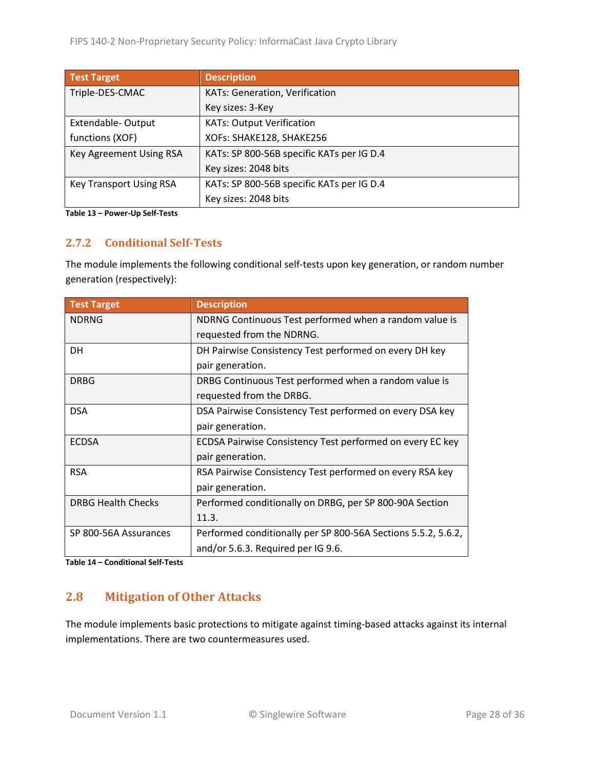| <b>Test Target</b>             | <b>Description</b>                        |
|--------------------------------|-------------------------------------------|
| Triple-DES-CMAC                | KATs: Generation, Verification            |
|                                | Key sizes: 3-Key                          |
| Extendable-Output              | <b>KATs: Output Verification</b>          |
| functions (XOF)                | XOFs: SHAKE128, SHAKE256                  |
| Key Agreement Using RSA        | KATs: SP 800-56B specific KATs per IG D.4 |
|                                | Key sizes: 2048 bits                      |
| <b>Key Transport Using RSA</b> | KATs: SP 800-56B specific KATs per IG D.4 |
|                                | Key sizes: 2048 bits                      |

<span id="page-27-2"></span>**Table 13 – Power-Up Self-Tests**

#### <span id="page-27-0"></span>**2.7.2 Conditional Self-Tests**

The module implements the following conditional self-tests upon key generation, or random number generation (respectively):

| <b>Test Target</b>        | <b>Description</b>                                            |
|---------------------------|---------------------------------------------------------------|
| <b>NDRNG</b>              | NDRNG Continuous Test performed when a random value is        |
|                           | requested from the NDRNG.                                     |
| <b>DH</b>                 | DH Pairwise Consistency Test performed on every DH key        |
|                           | pair generation.                                              |
| <b>DRBG</b>               | DRBG Continuous Test performed when a random value is         |
|                           | requested from the DRBG.                                      |
| <b>DSA</b>                | DSA Pairwise Consistency Test performed on every DSA key      |
|                           | pair generation.                                              |
| <b>ECDSA</b>              | ECDSA Pairwise Consistency Test performed on every EC key     |
|                           | pair generation.                                              |
| <b>RSA</b>                | RSA Pairwise Consistency Test performed on every RSA key      |
|                           | pair generation.                                              |
| <b>DRBG Health Checks</b> | Performed conditionally on DRBG, per SP 800-90A Section       |
|                           | 11.3.                                                         |
| SP 800-56A Assurances     | Performed conditionally per SP 800-56A Sections 5.5.2, 5.6.2, |
|                           | and/or 5.6.3. Required per IG 9.6.                            |

**Table 14 – Conditional Self-Tests**

## <span id="page-27-1"></span>**2.8 Mitigation of Other Attacks**

The module implements basic protections to mitigate against timing-based attacks against its internal implementations. There are two countermeasures used.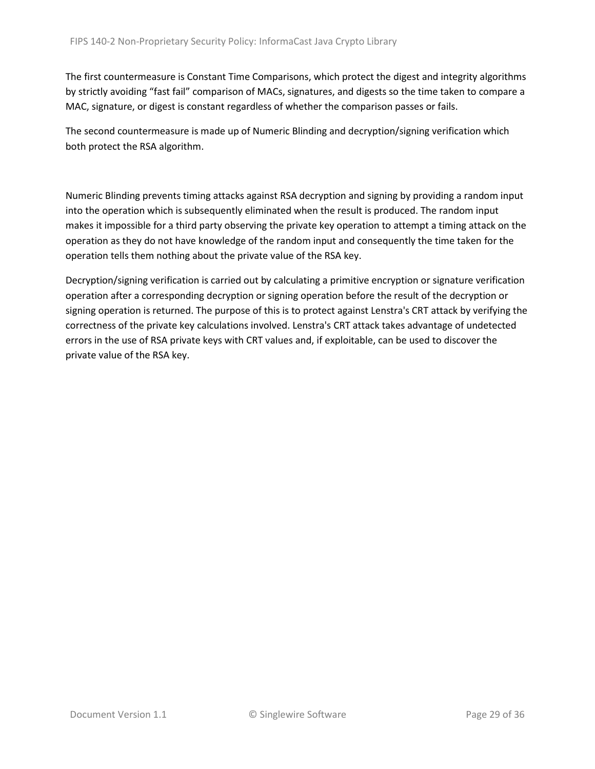The first countermeasure is Constant Time Comparisons, which protect the digest and integrity algorithms by strictly avoiding "fast fail" comparison of MACs, signatures, and digests so the time taken to compare a MAC, signature, or digest is constant regardless of whether the comparison passes or fails.

The second countermeasure is made up of Numeric Blinding and decryption/signing verification which both protect the RSA algorithm.

Numeric Blinding prevents timing attacks against RSA decryption and signing by providing a random input into the operation which is subsequently eliminated when the result is produced. The random input makes it impossible for a third party observing the private key operation to attempt a timing attack on the operation as they do not have knowledge of the random input and consequently the time taken for the operation tells them nothing about the private value of the RSA key.

Decryption/signing verification is carried out by calculating a primitive encryption or signature verification operation after a corresponding decryption or signing operation before the result of the decryption or signing operation is returned. The purpose of this is to protect against Lenstra's CRT attack by verifying the correctness of the private key calculations involved. Lenstra's CRT attack takes advantage of undetected errors in the use of RSA private keys with CRT values and, if exploitable, can be used to discover the private value of the RSA key.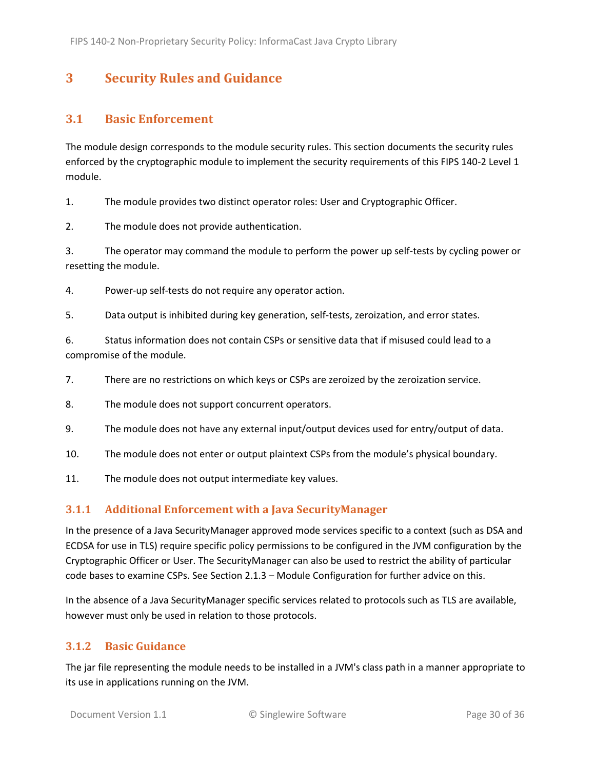## <span id="page-29-0"></span>**3 Security Rules and Guidance**

## <span id="page-29-1"></span>**3.1 Basic Enforcement**

The module design corresponds to the module security rules. This section documents the security rules enforced by the cryptographic module to implement the security requirements of this FIPS 140-2 Level 1 module.

1. The module provides two distinct operator roles: User and Cryptographic Officer.

2. The module does not provide authentication.

3. The operator may command the module to perform the power up self-tests by cycling power or resetting the module.

4. Power-up self-tests do not require any operator action.

5. Data output is inhibited during key generation, self-tests, zeroization, and error states.

6. Status information does not contain CSPs or sensitive data that if misused could lead to a compromise of the module.

7. There are no restrictions on which keys or CSPs are zeroized by the zeroization service.

- 8. The module does not support concurrent operators.
- 9. The module does not have any external input/output devices used for entry/output of data.
- 10. The module does not enter or output plaintext CSPs from the module's physical boundary.
- 11. The module does not output intermediate key values.

#### <span id="page-29-2"></span>**3.1.1 Additional Enforcement with a Java SecurityManager**

In the presence of a Java SecurityManager approved mode services specific to a context (such as DSA and ECDSA for use in TLS) require specific policy permissions to be configured in the JVM configuration by the Cryptographic Officer or User. The SecurityManager can also be used to restrict the ability of particular code bases to examine CSPs. See Section [2.1.3](#page-6-0) – Module Configuration for further advice on this.

In the absence of a Java SecurityManager specific services related to protocols such as TLS are available, however must only be used in relation to those protocols.

#### <span id="page-29-3"></span>**3.1.2 Basic Guidance**

The jar file representing the module needs to be installed in a JVM's class path in a manner appropriate to its use in applications running on the JVM.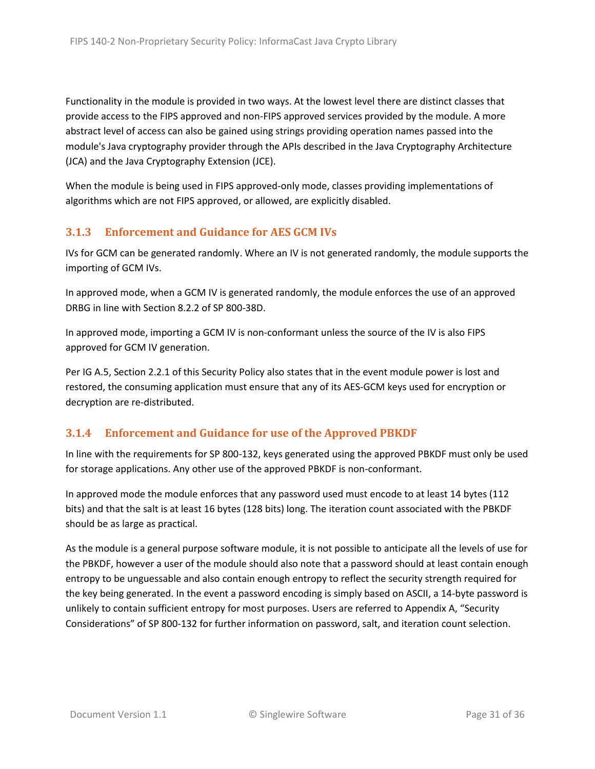Functionality in the module is provided in two ways. At the lowest level there are distinct classes that provide access to the FIPS approved and non-FIPS approved services provided by the module. A more abstract level of access can also be gained using strings providing operation names passed into the module's Java cryptography provider through the APIs described in the Java Cryptography Architecture (JCA) and the Java Cryptography Extension (JCE).

When the module is being used in FIPS approved-only mode, classes providing implementations of algorithms which are not FIPS approved, or allowed, are explicitly disabled.

#### <span id="page-30-0"></span>**3.1.3 Enforcement and Guidance for AES GCM IVs**

IVs for GCM can be generated randomly. Where an IV is not generated randomly, the module supports the importing of GCM IVs.

In approved mode, when a GCM IV is generated randomly, the module enforces the use of an approved DRBG in line with Section 8.2.2 of SP 800-38D.

In approved mode, importing a GCM IV is non-conformant unless the source of the IV is also FIPS approved for GCM IV generation.

Per IG A.5, Sectio[n 2.2.1](#page-16-1) of this Security Policy also states that in the event module power is lost and restored, the consuming application must ensure that any of its AES-GCM keys used for encryption or decryption are re-distributed.

#### <span id="page-30-1"></span>**3.1.4 Enforcement and Guidance for use of the Approved PBKDF**

In line with the requirements for SP 800-132, keys generated using the approved PBKDF must only be used for storage applications. Any other use of the approved PBKDF is non-conformant.

In approved mode the module enforces that any password used must encode to at least 14 bytes (112 bits) and that the salt is at least 16 bytes (128 bits) long. The iteration count associated with the PBKDF should be as large as practical.

As the module is a general purpose software module, it is not possible to anticipate all the levels of use for the PBKDF, however a user of the module should also note that a password should at least contain enough entropy to be unguessable and also contain enough entropy to reflect the security strength required for the key being generated. In the event a password encoding is simply based on ASCII, a 14-byte password is unlikely to contain sufficient entropy for most purposes. Users are referred to Appendix A, "Security Considerations" of SP 800-132 for further information on password, salt, and iteration count selection.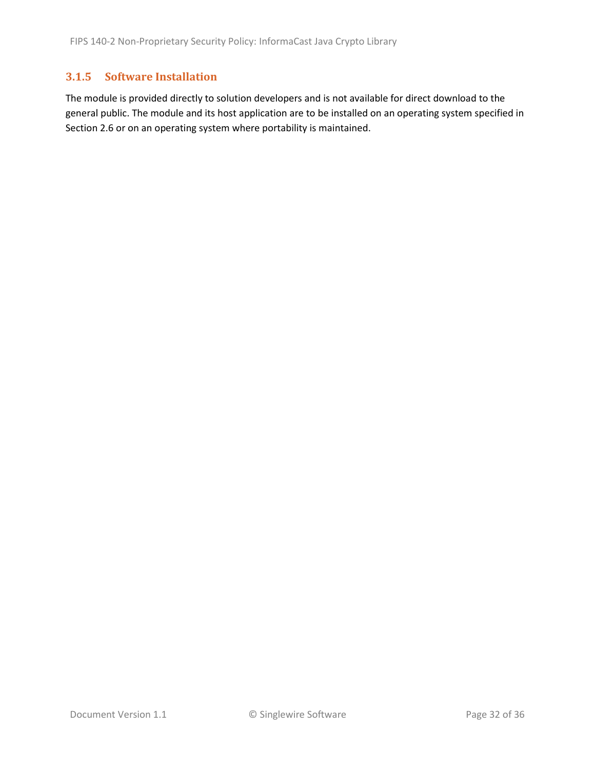#### <span id="page-31-0"></span>**3.1.5 Software Installation**

The module is provided directly to solution developers and is not available for direct download to the general public. The module and its host application are to be installed on an operating system specified in Section [2.6](#page-24-1) or on an operating system where portability is maintained.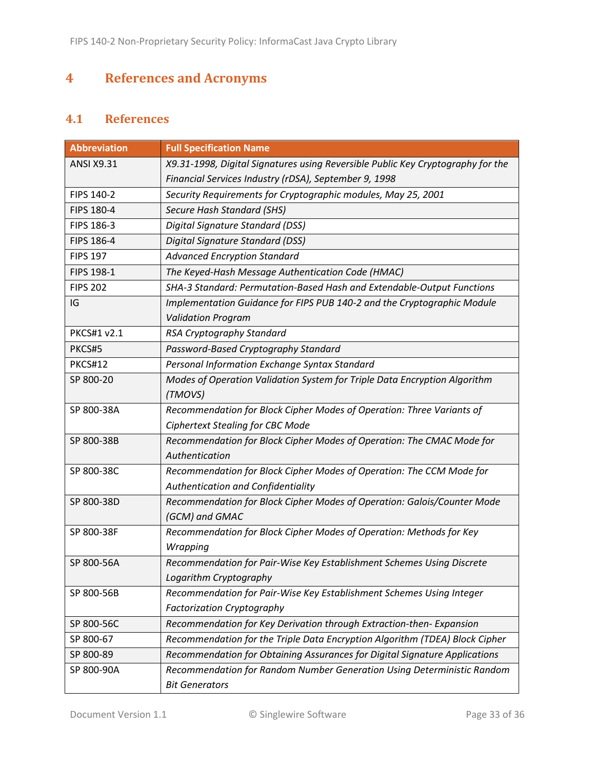## <span id="page-32-0"></span>**4 References and Acronyms**

## <span id="page-32-1"></span>**4.1 References**

| <b>Abbreviation</b> | <b>Full Specification Name</b>                                                  |
|---------------------|---------------------------------------------------------------------------------|
| <b>ANSI X9.31</b>   | X9.31-1998, Digital Signatures using Reversible Public Key Cryptography for the |
|                     | Financial Services Industry (rDSA), September 9, 1998                           |
| FIPS 140-2          | Security Requirements for Cryptographic modules, May 25, 2001                   |
| FIPS 180-4          | Secure Hash Standard (SHS)                                                      |
| FIPS 186-3          | Digital Signature Standard (DSS)                                                |
| FIPS 186-4          | Digital Signature Standard (DSS)                                                |
| <b>FIPS 197</b>     | <b>Advanced Encryption Standard</b>                                             |
| FIPS 198-1          | The Keyed-Hash Message Authentication Code (HMAC)                               |
| <b>FIPS 202</b>     | SHA-3 Standard: Permutation-Based Hash and Extendable-Output Functions          |
| IG                  | Implementation Guidance for FIPS PUB 140-2 and the Cryptographic Module         |
|                     | <b>Validation Program</b>                                                       |
| <b>PKCS#1 v2.1</b>  | RSA Cryptography Standard                                                       |
| PKCS#5              | Password-Based Cryptography Standard                                            |
| <b>PKCS#12</b>      | Personal Information Exchange Syntax Standard                                   |
| SP 800-20           | Modes of Operation Validation System for Triple Data Encryption Algorithm       |
|                     | (TMOVS)                                                                         |
| SP 800-38A          | Recommendation for Block Cipher Modes of Operation: Three Variants of           |
|                     | <b>Ciphertext Stealing for CBC Mode</b>                                         |
| SP 800-38B          | Recommendation for Block Cipher Modes of Operation: The CMAC Mode for           |
|                     | Authentication                                                                  |
| SP 800-38C          | Recommendation for Block Cipher Modes of Operation: The CCM Mode for            |
|                     | Authentication and Confidentiality                                              |
| SP 800-38D          | Recommendation for Block Cipher Modes of Operation: Galois/Counter Mode         |
|                     | (GCM) and GMAC                                                                  |
| SP 800-38F          | Recommendation for Block Cipher Modes of Operation: Methods for Key             |
|                     | Wrapping                                                                        |
| SP 800-56A          | Recommendation for Pair-Wise Key Establishment Schemes Using Discrete           |
|                     | Logarithm Cryptography                                                          |
| SP 800-56B          | Recommendation for Pair-Wise Key Establishment Schemes Using Integer            |
|                     | <b>Factorization Cryptography</b>                                               |
| SP 800-56C          | Recommendation for Key Derivation through Extraction-then- Expansion            |
| SP 800-67           | Recommendation for the Triple Data Encryption Algorithm (TDEA) Block Cipher     |
| SP 800-89           | Recommendation for Obtaining Assurances for Digital Signature Applications      |
| SP 800-90A          | Recommendation for Random Number Generation Using Deterministic Random          |
|                     | <b>Bit Generators</b>                                                           |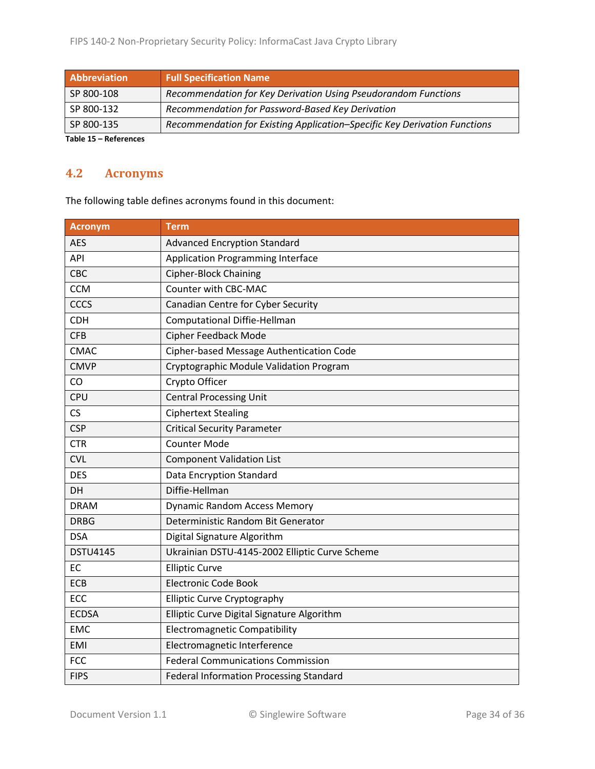| Abbreviation        | <b>Full Specification Name</b>                                            |
|---------------------|---------------------------------------------------------------------------|
| SP 800-108          | Recommendation for Key Derivation Using Pseudorandom Functions            |
| SP 800-132          | Recommendation for Password-Based Key Derivation                          |
| SP 800-135          | Recommendation for Existing Application-Specific Key Derivation Functions |
| Table 45 Bafanensee |                                                                           |

**Table 15 – References**

## <span id="page-33-0"></span>**4.2 Acronyms**

The following table defines acronyms found in this document:

| <b>Acronym</b>  | <b>Term</b>                                    |
|-----------------|------------------------------------------------|
| <b>AES</b>      | <b>Advanced Encryption Standard</b>            |
| API             | <b>Application Programming Interface</b>       |
| CBC             | <b>Cipher-Block Chaining</b>                   |
| <b>CCM</b>      | Counter with CBC-MAC                           |
| <b>CCCS</b>     | Canadian Centre for Cyber Security             |
| <b>CDH</b>      | <b>Computational Diffie-Hellman</b>            |
| <b>CFB</b>      | <b>Cipher Feedback Mode</b>                    |
| <b>CMAC</b>     | Cipher-based Message Authentication Code       |
| <b>CMVP</b>     | Cryptographic Module Validation Program        |
| CO              | Crypto Officer                                 |
| CPU             | <b>Central Processing Unit</b>                 |
| CS              | <b>Ciphertext Stealing</b>                     |
| <b>CSP</b>      | <b>Critical Security Parameter</b>             |
| <b>CTR</b>      | <b>Counter Mode</b>                            |
| <b>CVL</b>      | <b>Component Validation List</b>               |
| <b>DES</b>      | <b>Data Encryption Standard</b>                |
| DH              | Diffie-Hellman                                 |
| <b>DRAM</b>     | <b>Dynamic Random Access Memory</b>            |
| <b>DRBG</b>     | Deterministic Random Bit Generator             |
| <b>DSA</b>      | Digital Signature Algorithm                    |
| <b>DSTU4145</b> | Ukrainian DSTU-4145-2002 Elliptic Curve Scheme |
| EC              | <b>Elliptic Curve</b>                          |
| <b>ECB</b>      | Electronic Code Book                           |
| ECC             | <b>Elliptic Curve Cryptography</b>             |
| <b>ECDSA</b>    | Elliptic Curve Digital Signature Algorithm     |
| <b>EMC</b>      | <b>Electromagnetic Compatibility</b>           |
| <b>EMI</b>      | Electromagnetic Interference                   |
| <b>FCC</b>      | <b>Federal Communications Commission</b>       |
| <b>FIPS</b>     | <b>Federal Information Processing Standard</b> |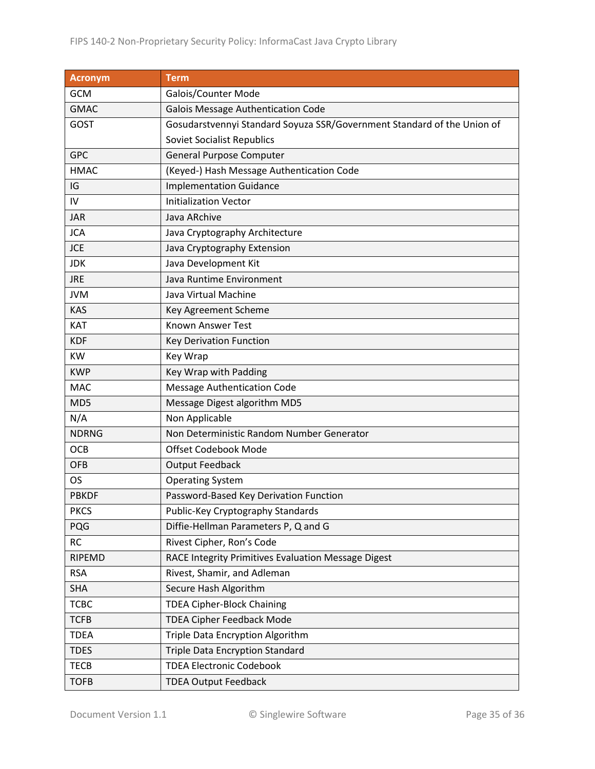| <b>Acronym</b> | <b>Term</b>                                                             |
|----------------|-------------------------------------------------------------------------|
| <b>GCM</b>     | Galois/Counter Mode                                                     |
| <b>GMAC</b>    | <b>Galois Message Authentication Code</b>                               |
| GOST           | Gosudarstvennyi Standard Soyuza SSR/Government Standard of the Union of |
|                | <b>Soviet Socialist Republics</b>                                       |
| <b>GPC</b>     | <b>General Purpose Computer</b>                                         |
| <b>HMAC</b>    | (Keyed-) Hash Message Authentication Code                               |
| IG             | <b>Implementation Guidance</b>                                          |
| IV             | <b>Initialization Vector</b>                                            |
| <b>JAR</b>     | Java ARchive                                                            |
| <b>JCA</b>     | Java Cryptography Architecture                                          |
| <b>JCE</b>     | Java Cryptography Extension                                             |
| <b>JDK</b>     | Java Development Kit                                                    |
| <b>JRE</b>     | Java Runtime Environment                                                |
| <b>JVM</b>     | Java Virtual Machine                                                    |
| <b>KAS</b>     | Key Agreement Scheme                                                    |
| KAT            | Known Answer Test                                                       |
| <b>KDF</b>     | <b>Key Derivation Function</b>                                          |
| <b>KW</b>      | Key Wrap                                                                |
| <b>KWP</b>     | Key Wrap with Padding                                                   |
| <b>MAC</b>     | <b>Message Authentication Code</b>                                      |
| MD5            | Message Digest algorithm MD5                                            |
| N/A            | Non Applicable                                                          |
| <b>NDRNG</b>   | Non Deterministic Random Number Generator                               |
| <b>OCB</b>     | Offset Codebook Mode                                                    |
| <b>OFB</b>     | <b>Output Feedback</b>                                                  |
| <b>OS</b>      | <b>Operating System</b>                                                 |
| <b>PBKDF</b>   | Password-Based Key Derivation Function                                  |
| <b>PKCS</b>    | Public-Key Cryptography Standards                                       |
| PQG            | Diffie-Hellman Parameters P, Q and G                                    |
| <b>RC</b>      | Rivest Cipher, Ron's Code                                               |
| RIPEMD         | RACE Integrity Primitives Evaluation Message Digest                     |
| <b>RSA</b>     | Rivest, Shamir, and Adleman                                             |
| <b>SHA</b>     | Secure Hash Algorithm                                                   |
| <b>TCBC</b>    | <b>TDEA Cipher-Block Chaining</b>                                       |
| <b>TCFB</b>    | <b>TDEA Cipher Feedback Mode</b>                                        |
| <b>TDEA</b>    | Triple Data Encryption Algorithm                                        |
| <b>TDES</b>    | <b>Triple Data Encryption Standard</b>                                  |
| <b>TECB</b>    | <b>TDEA Electronic Codebook</b>                                         |
| <b>TOFB</b>    | <b>TDEA Output Feedback</b>                                             |